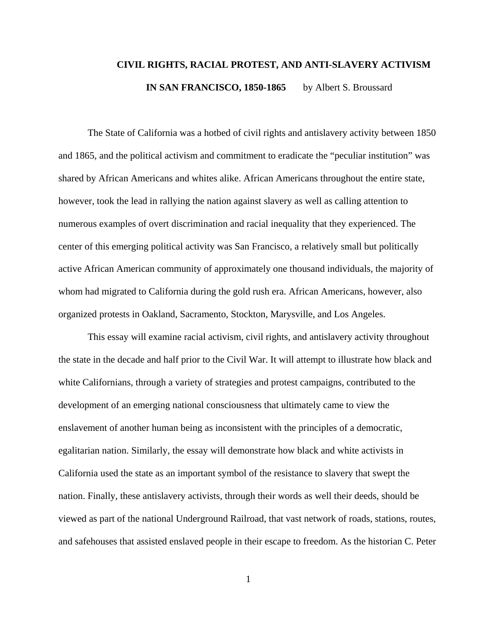# **CIVIL RIGHTS, RACIAL PROTEST, AND ANTI-SLAVERY ACTIVISM IN SAN FRANCISCO, 1850-1865** by Albert S. Broussard

The State of California was a hotbed of civil rights and antislavery activity between 1850 and 1865, and the political activism and commitment to eradicate the "peculiar institution" was shared by African Americans and whites alike. African Americans throughout the entire state, however, took the lead in rallying the nation against slavery as well as calling attention to numerous examples of overt discrimination and racial inequality that they experienced. The center of this emerging political activity was San Francisco, a relatively small but politically active African American community of approximately one thousand individuals, the majority of whom had migrated to California during the gold rush era. African Americans, however, also organized protests in Oakland, Sacramento, Stockton, Marysville, and Los Angeles.

This essay will examine racial activism, civil rights, and antislavery activity throughout the state in the decade and half prior to the Civil War. It will attempt to illustrate how black and white Californians, through a variety of strategies and protest campaigns, contributed to the development of an emerging national consciousness that ultimately came to view the enslavement of another human being as inconsistent with the principles of a democratic, egalitarian nation. Similarly, the essay will demonstrate how black and white activists in California used the state as an important symbol of the resistance to slavery that swept the nation. Finally, these antislavery activists, through their words as well their deeds, should be viewed as part of the national Underground Railroad, that vast network of roads, stations, routes, and safehouses that assisted enslaved people in their escape to freedom. As the historian C. Peter

1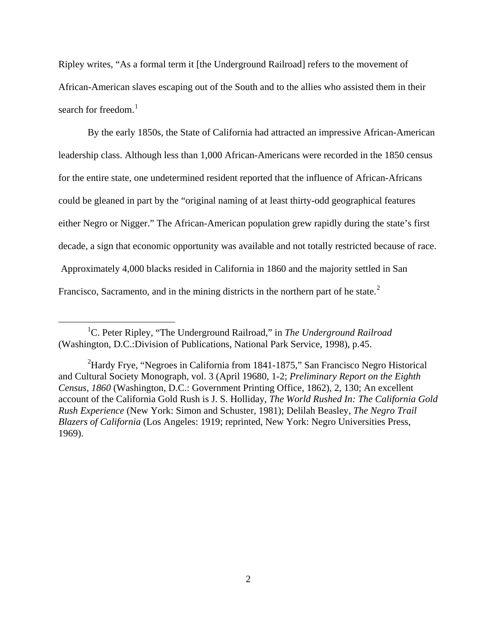Ripley writes, "As a formal term it [the Underground Railroad] refers to the movement of African-American slaves escaping out of the South and to the allies who assisted them in their search for freedom. $<sup>1</sup>$  $<sup>1</sup>$  $<sup>1</sup>$ </sup>

By the early 1850s, the State of California had attracted an impressive African-American leadership class. Although less than 1,000 African-Americans were recorded in the 1850 census for the entire state, one undetermined resident reported that the influence of African-Africans could be gleaned in part by the "original naming of at least thirty-odd geographical features either Negro or Nigger." The African-American population grew rapidly during the state's first decade, a sign that economic opportunity was available and not totally restricted because of race. Approximately 4,000 blacks resided in California in 1860 and the majority settled in San Francisco, Sacramento, and in the mining districts in the northern part of he state. $2^2$  $2^2$ 

<span id="page-1-0"></span><sup>&</sup>lt;sup>1</sup>C. Peter Ripley, "The Underground Railroad," in *The Underground Railroad* (Washington, D.C.:Division of Publications, National Park Service, 1998), p.45.

<span id="page-1-1"></span><sup>&</sup>lt;sup>2</sup>Hardy Frye, "Negroes in California from 1841-1875," San Francisco Negro Historical and Cultural Society Monograph, vol. 3 (April 19680, 1-2; *Preliminary Report on the Eighth Census*, *1860* (Washington, D.C.: Government Printing Office, 1862), 2, 130; An excellent account of the California Gold Rush is J. S. Holliday, *The World Rushed In: The California Gold Rush Experience* (New York: Simon and Schuster, 1981); Delilah Beasley, *The Negro Trail Blazers of California* (Los Angeles: 1919; reprinted, New York: Negro Universities Press, 1969).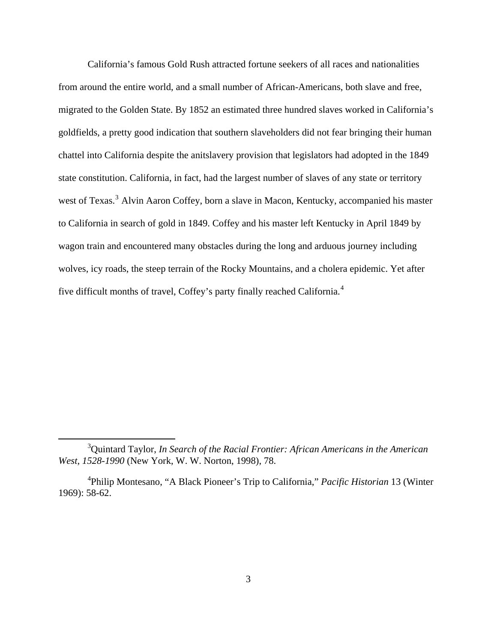California's famous Gold Rush attracted fortune seekers of all races and nationalities from around the entire world, and a small number of African-Americans, both slave and free, migrated to the Golden State. By 1852 an estimated three hundred slaves worked in California's goldfields, a pretty good indication that southern slaveholders did not fear bringing their human chattel into California despite the anitslavery provision that legislators had adopted in the 1849 state constitution. California, in fact, had the largest number of slaves of any state or territory west of Texas.<sup>[3](#page-2-0)</sup> Alvin Aaron Coffey, born a slave in Macon, Kentucky, accompanied his master to California in search of gold in 1849. Coffey and his master left Kentucky in April 1849 by wagon train and encountered many obstacles during the long and arduous journey including wolves, icy roads, the steep terrain of the Rocky Mountains, and a cholera epidemic. Yet after five difficult months of travel, Coffey's party finally reached California.<sup>[4](#page-2-1)</sup>

<span id="page-2-0"></span><sup>3</sup> Quintard Taylor, *In Search of the Racial Frontier: African Americans in the American West, 1528-1990* (New York, W. W. Norton, 1998), 78.

<span id="page-2-1"></span><sup>4</sup> Philip Montesano, "A Black Pioneer's Trip to California," *Pacific Historian* 13 (Winter 1969): 58-62.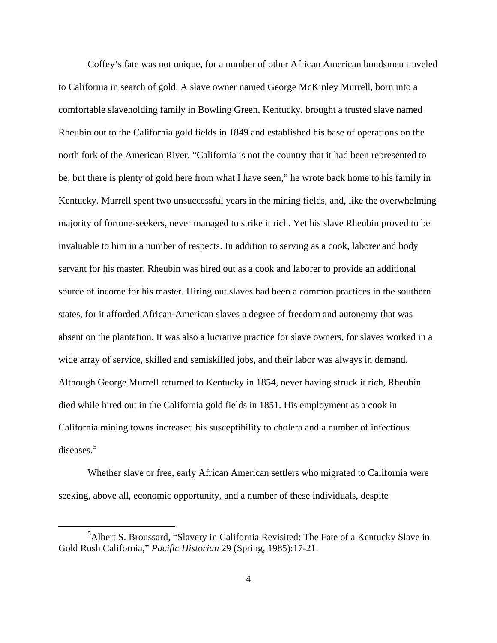Coffey's fate was not unique, for a number of other African American bondsmen traveled to California in search of gold. A slave owner named George McKinley Murrell, born into a comfortable slaveholding family in Bowling Green, Kentucky, brought a trusted slave named Rheubin out to the California gold fields in 1849 and established his base of operations on the north fork of the American River. "California is not the country that it had been represented to be, but there is plenty of gold here from what I have seen," he wrote back home to his family in Kentucky. Murrell spent two unsuccessful years in the mining fields, and, like the overwhelming majority of fortune-seekers, never managed to strike it rich. Yet his slave Rheubin proved to be invaluable to him in a number of respects. In addition to serving as a cook, laborer and body servant for his master, Rheubin was hired out as a cook and laborer to provide an additional source of income for his master. Hiring out slaves had been a common practices in the southern states, for it afforded African-American slaves a degree of freedom and autonomy that was absent on the plantation. It was also a lucrative practice for slave owners, for slaves worked in a wide array of service, skilled and semiskilled jobs, and their labor was always in demand. Although George Murrell returned to Kentucky in 1854, never having struck it rich, Rheubin died while hired out in the California gold fields in 1851. His employment as a cook in California mining towns increased his susceptibility to cholera and a number of infectious diseases.[5](#page-3-0)

Whether slave or free, early African American settlers who migrated to California were seeking, above all, economic opportunity, and a number of these individuals, despite

<span id="page-3-0"></span><sup>&</sup>lt;sup>5</sup> Albert S. Broussard, "Slavery in California Revisited: The Fate of a Kentucky Slave in Gold Rush California," *Pacific Historian* 29 (Spring, 1985):17-21.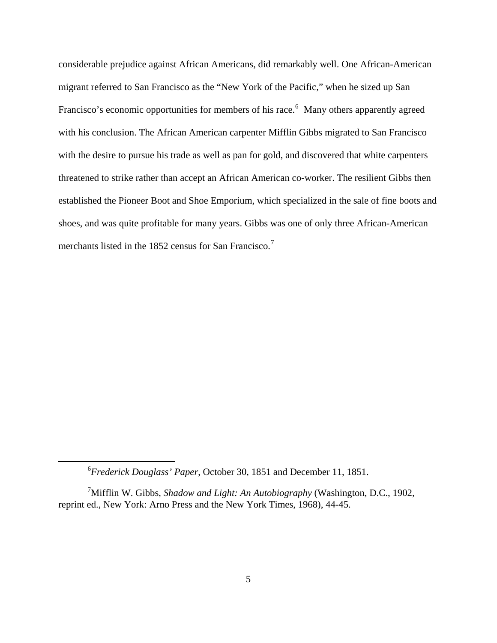considerable prejudice against African Americans, did remarkably well. One African-American migrant referred to San Francisco as the "New York of the Pacific," when he sized up San Francisco's economic opportunities for members of his race.<sup>[6](#page-4-0)</sup> Many others apparently agreed with his conclusion. The African American carpenter Mifflin Gibbs migrated to San Francisco with the desire to pursue his trade as well as pan for gold, and discovered that white carpenters threatened to strike rather than accept an African American co-worker. The resilient Gibbs then established the Pioneer Boot and Shoe Emporium, which specialized in the sale of fine boots and shoes, and was quite profitable for many years. Gibbs was one of only three African-American merchants listed in the 1852 census for San Francisco.<sup>[7](#page-4-1)</sup>

<sup>6</sup> *Frederick Douglass' Paper*, October 30, 1851 and December 11, 1851.

<span id="page-4-1"></span><span id="page-4-0"></span><sup>7</sup> Mifflin W. Gibbs, *Shadow and Light: An Autobiography* (Washington, D.C., 1902, reprint ed., New York: Arno Press and the New York Times, 1968), 44-45.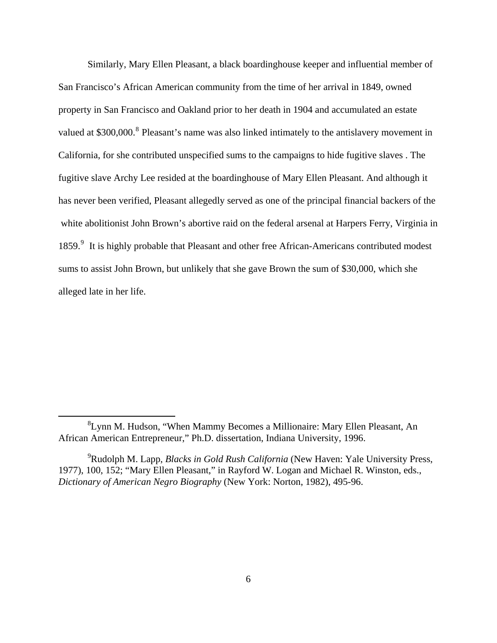Similarly, Mary Ellen Pleasant, a black boardinghouse keeper and influential member of San Francisco's African American community from the time of her arrival in 1849, owned property in San Francisco and Oakland prior to her death in 1904 and accumulated an estate valued at \$300,000.<sup>[8](#page-5-0)</sup> Pleasant's name was also linked intimately to the antislavery movement in California, for she contributed unspecified sums to the campaigns to hide fugitive slaves . The fugitive slave Archy Lee resided at the boardinghouse of Mary Ellen Pleasant. And although it has never been verified, Pleasant allegedly served as one of the principal financial backers of the white abolitionist John Brown's abortive raid on the federal arsenal at Harpers Ferry, Virginia in 185[9](#page-5-1).<sup>9</sup> It is highly probable that Pleasant and other free African-Americans contributed modest sums to assist John Brown, but unlikely that she gave Brown the sum of \$30,000, which she alleged late in her life.

<span id="page-5-0"></span><sup>&</sup>lt;sup>8</sup> Lynn M. Hudson, "When Mammy Becomes a Millionaire: Mary Ellen Pleasant, An African American Entrepreneur," Ph.D. dissertation, Indiana University, 1996.

<span id="page-5-1"></span><sup>9</sup> Rudolph M. Lapp, *Blacks in Gold Rush California* (New Haven: Yale University Press, 1977), 100, 152; "Mary Ellen Pleasant," in Rayford W. Logan and Michael R. Winston, eds., *Dictionary of American Negro Biography* (New York: Norton, 1982), 495-96.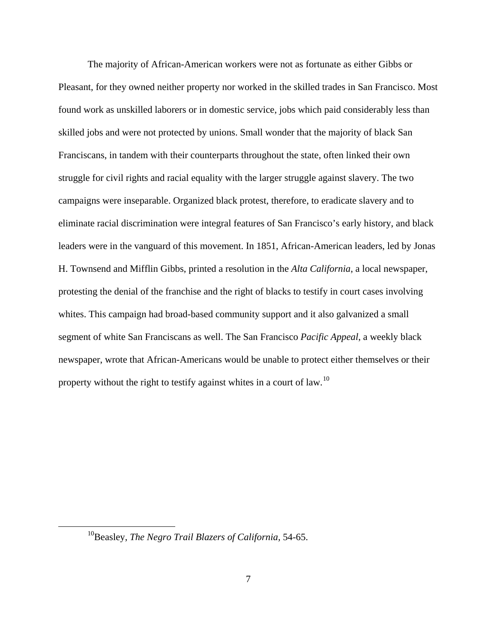The majority of African-American workers were not as fortunate as either Gibbs or Pleasant, for they owned neither property nor worked in the skilled trades in San Francisco. Most found work as unskilled laborers or in domestic service, jobs which paid considerably less than skilled jobs and were not protected by unions. Small wonder that the majority of black San Franciscans, in tandem with their counterparts throughout the state, often linked their own struggle for civil rights and racial equality with the larger struggle against slavery. The two campaigns were inseparable. Organized black protest, therefore, to eradicate slavery and to eliminate racial discrimination were integral features of San Francisco's early history, and black leaders were in the vanguard of this movement. In 1851, African-American leaders, led by Jonas H. Townsend and Mifflin Gibbs, printed a resolution in the *Alta California*, a local newspaper, protesting the denial of the franchise and the right of blacks to testify in court cases involving whites. This campaign had broad-based community support and it also galvanized a small segment of white San Franciscans as well. The San Francisco *Pacific Appeal*, a weekly black newspaper, wrote that African-Americans would be unable to protect either themselves or their property without the right to testify against whites in a court of law.<sup>[10](#page-6-0)</sup>

<span id="page-6-0"></span><sup>10</sup>Beasley, *The Negro Trail Blazers of California,* 54-65.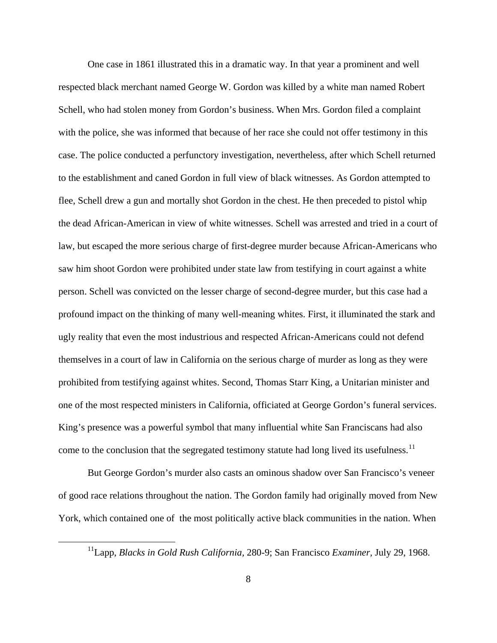One case in 1861 illustrated this in a dramatic way. In that year a prominent and well respected black merchant named George W. Gordon was killed by a white man named Robert Schell, who had stolen money from Gordon's business. When Mrs. Gordon filed a complaint with the police, she was informed that because of her race she could not offer testimony in this case. The police conducted a perfunctory investigation, nevertheless, after which Schell returned to the establishment and caned Gordon in full view of black witnesses. As Gordon attempted to flee, Schell drew a gun and mortally shot Gordon in the chest. He then preceded to pistol whip the dead African-American in view of white witnesses. Schell was arrested and tried in a court of law, but escaped the more serious charge of first-degree murder because African-Americans who saw him shoot Gordon were prohibited under state law from testifying in court against a white person. Schell was convicted on the lesser charge of second-degree murder, but this case had a profound impact on the thinking of many well-meaning whites. First, it illuminated the stark and ugly reality that even the most industrious and respected African-Americans could not defend themselves in a court of law in California on the serious charge of murder as long as they were prohibited from testifying against whites. Second, Thomas Starr King, a Unitarian minister and one of the most respected ministers in California, officiated at George Gordon's funeral services. King's presence was a powerful symbol that many influential white San Franciscans had also come to the conclusion that the segregated testimony statute had long lived its usefulness.<sup>[11](#page-7-0)</sup>

But George Gordon's murder also casts an ominous shadow over San Francisco's veneer of good race relations throughout the nation. The Gordon family had originally moved from New York, which contained one of the most politically active black communities in the nation. When

<span id="page-7-0"></span><sup>11</sup>Lapp, *Blacks in Gold Rush California,* 280-9; San Francisco *Examiner,* July 29, 1968.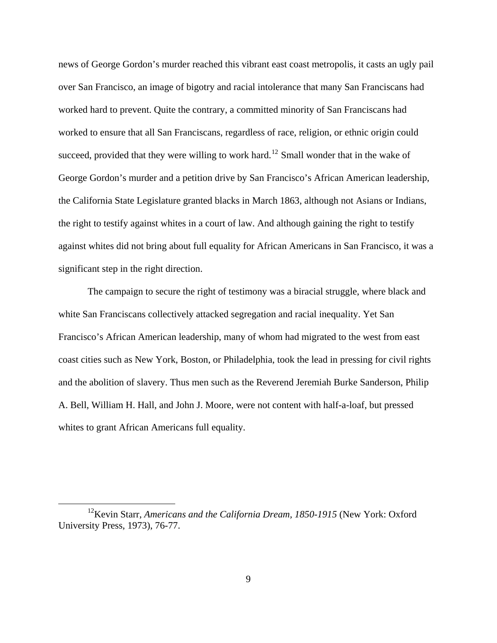news of George Gordon's murder reached this vibrant east coast metropolis, it casts an ugly pail over San Francisco, an image of bigotry and racial intolerance that many San Franciscans had worked hard to prevent. Quite the contrary, a committed minority of San Franciscans had worked to ensure that all San Franciscans, regardless of race, religion, or ethnic origin could succeed, provided that they were willing to work hard.<sup>[12](#page-8-0)</sup> Small wonder that in the wake of George Gordon's murder and a petition drive by San Francisco's African American leadership, the California State Legislature granted blacks in March 1863, although not Asians or Indians, the right to testify against whites in a court of law. And although gaining the right to testify against whites did not bring about full equality for African Americans in San Francisco, it was a significant step in the right direction.

The campaign to secure the right of testimony was a biracial struggle, where black and white San Franciscans collectively attacked segregation and racial inequality. Yet San Francisco's African American leadership, many of whom had migrated to the west from east coast cities such as New York, Boston, or Philadelphia, took the lead in pressing for civil rights and the abolition of slavery. Thus men such as the Reverend Jeremiah Burke Sanderson, Philip A. Bell, William H. Hall, and John J. Moore, were not content with half-a-loaf, but pressed whites to grant African Americans full equality.

<span id="page-8-0"></span><sup>&</sup>lt;sup>12</sup>Kevin Starr, *Americans and the California Dream, 1850-1915* (New York: Oxford University Press, 1973), 76-77.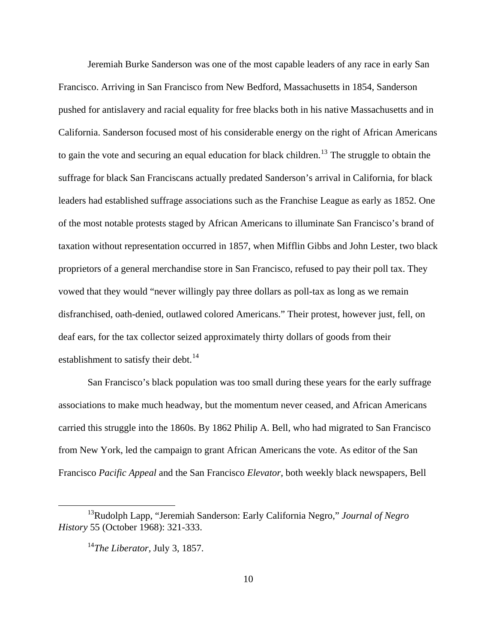Jeremiah Burke Sanderson was one of the most capable leaders of any race in early San Francisco. Arriving in San Francisco from New Bedford, Massachusetts in 1854, Sanderson pushed for antislavery and racial equality for free blacks both in his native Massachusetts and in California. Sanderson focused most of his considerable energy on the right of African Americans to gain the vote and securing an equal education for black children.<sup>[13](#page-9-0)</sup> The struggle to obtain the suffrage for black San Franciscans actually predated Sanderson's arrival in California, for black leaders had established suffrage associations such as the Franchise League as early as 1852. One of the most notable protests staged by African Americans to illuminate San Francisco's brand of taxation without representation occurred in 1857, when Mifflin Gibbs and John Lester, two black proprietors of a general merchandise store in San Francisco, refused to pay their poll tax. They vowed that they would "never willingly pay three dollars as poll-tax as long as we remain disfranchised, oath-denied, outlawed colored Americans." Their protest, however just, fell, on deaf ears, for the tax collector seized approximately thirty dollars of goods from their establishment to satisfy their debt.<sup>[14](#page-9-1)</sup>

San Francisco's black population was too small during these years for the early suffrage associations to make much headway, but the momentum never ceased, and African Americans carried this struggle into the 1860s. By 1862 Philip A. Bell, who had migrated to San Francisco from New York, led the campaign to grant African Americans the vote. As editor of the San Francisco *Pacific Appeal* and the San Francisco *Elevator*, both weekly black newspapers, Bell

<span id="page-9-1"></span><span id="page-9-0"></span><sup>13</sup>Rudolph Lapp, "Jeremiah Sanderson: Early California Negro," *Journal of Negro History* 55 (October 1968): 321-333.

<sup>14</sup>*The Liberator,* July 3, 1857.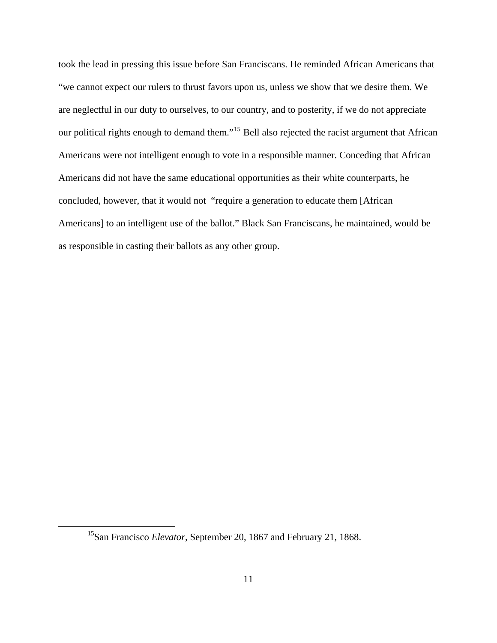took the lead in pressing this issue before San Franciscans. He reminded African Americans that "we cannot expect our rulers to thrust favors upon us, unless we show that we desire them. We are neglectful in our duty to ourselves, to our country, and to posterity, if we do not appreciate our political rights enough to demand them."<sup>[15](#page-10-0)</sup> Bell also rejected the racist argument that African Americans were not intelligent enough to vote in a responsible manner. Conceding that African Americans did not have the same educational opportunities as their white counterparts, he concluded, however, that it would not "require a generation to educate them [African Americans] to an intelligent use of the ballot." Black San Franciscans, he maintained, would be as responsible in casting their ballots as any other group.

<span id="page-10-0"></span><sup>15</sup>San Francisco *Elevator,* September 20, 1867 and February 21, 1868.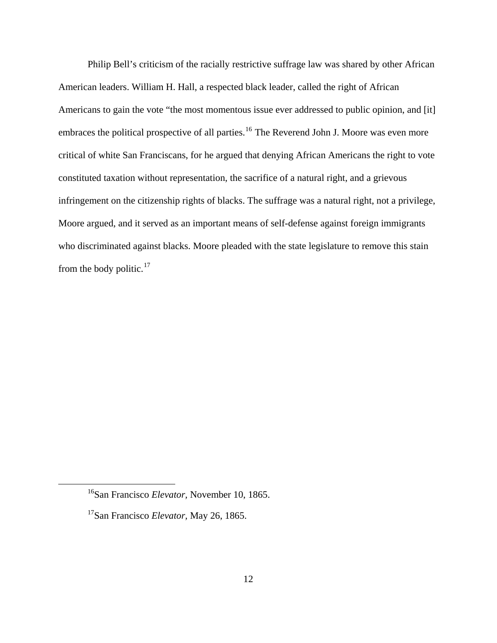Philip Bell's criticism of the racially restrictive suffrage law was shared by other African American leaders. William H. Hall, a respected black leader, called the right of African Americans to gain the vote "the most momentous issue ever addressed to public opinion, and [it] embraces the political prospective of all parties.<sup>[16](#page-11-0)</sup> The Reverend John J. Moore was even more critical of white San Franciscans, for he argued that denying African Americans the right to vote constituted taxation without representation, the sacrifice of a natural right, and a grievous infringement on the citizenship rights of blacks. The suffrage was a natural right, not a privilege, Moore argued, and it served as an important means of self-defense against foreign immigrants who discriminated against blacks. Moore pleaded with the state legislature to remove this stain from the body politic. $17$ 

<span id="page-11-0"></span><sup>16</sup>San Francisco *Elevator,* November 10, 1865.

<span id="page-11-1"></span><sup>17</sup>San Francisco *Elevator,* May 26, 1865.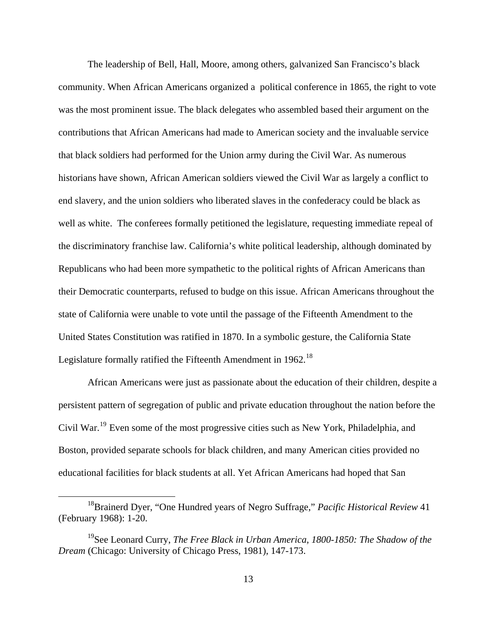The leadership of Bell, Hall, Moore, among others, galvanized San Francisco's black community. When African Americans organized a political conference in 1865, the right to vote was the most prominent issue. The black delegates who assembled based their argument on the contributions that African Americans had made to American society and the invaluable service that black soldiers had performed for the Union army during the Civil War. As numerous historians have shown, African American soldiers viewed the Civil War as largely a conflict to end slavery, and the union soldiers who liberated slaves in the confederacy could be black as well as white. The conferees formally petitioned the legislature, requesting immediate repeal of the discriminatory franchise law. California's white political leadership, although dominated by Republicans who had been more sympathetic to the political rights of African Americans than their Democratic counterparts, refused to budge on this issue. African Americans throughout the state of California were unable to vote until the passage of the Fifteenth Amendment to the United States Constitution was ratified in 1870. In a symbolic gesture, the California State Legislature formally ratified the Fifteenth Amendment in  $1962$ <sup>[18](#page-12-0)</sup>

African Americans were just as passionate about the education of their children, despite a persistent pattern of segregation of public and private education throughout the nation before the Civil War.[19](#page-12-1) Even some of the most progressive cities such as New York, Philadelphia, and Boston, provided separate schools for black children, and many American cities provided no educational facilities for black students at all. Yet African Americans had hoped that San

<span id="page-12-0"></span><sup>18</sup>Brainerd Dyer, "One Hundred years of Negro Suffrage," *Pacific Historical Review* 41 (February 1968): 1-20.

<span id="page-12-1"></span><sup>19</sup>See Leonard Curry, *The Free Black in Urban America, 1800-1850: The Shadow of the Dream* (Chicago: University of Chicago Press, 1981), 147-173.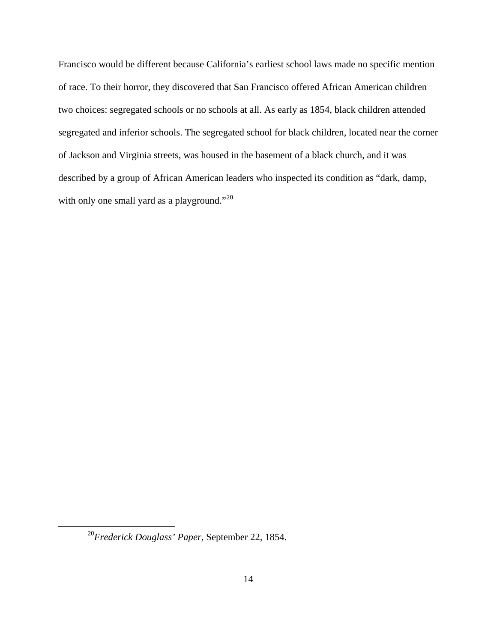Francisco would be different because California's earliest school laws made no specific mention of race. To their horror, they discovered that San Francisco offered African American children two choices: segregated schools or no schools at all. As early as 1854, black children attended segregated and inferior schools. The segregated school for black children, located near the corner of Jackson and Virginia streets, was housed in the basement of a black church, and it was described by a group of African American leaders who inspected its condition as "dark, damp, with only one small yard as a playground."<sup>[20](#page-13-0)</sup>

<span id="page-13-0"></span><sup>20</sup>*Frederick Douglass' Paper,* September 22, 1854.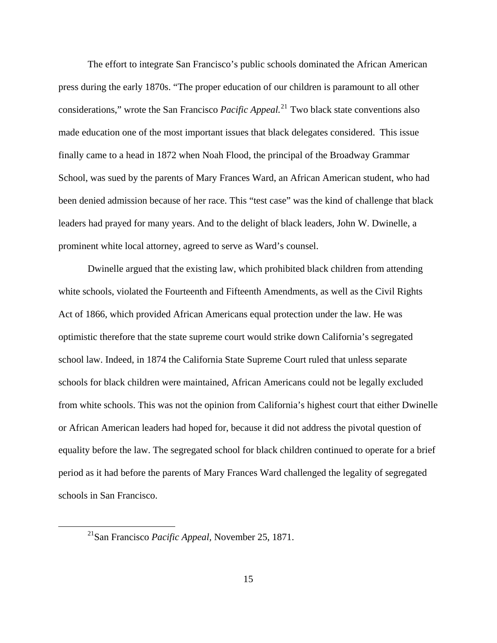The effort to integrate San Francisco's public schools dominated the African American press during the early 1870s. "The proper education of our children is paramount to all other considerations," wrote the San Francisco *Pacific Appeal.*[21](#page-14-0) Two black state conventions also made education one of the most important issues that black delegates considered. This issue finally came to a head in 1872 when Noah Flood, the principal of the Broadway Grammar School, was sued by the parents of Mary Frances Ward, an African American student, who had been denied admission because of her race. This "test case" was the kind of challenge that black leaders had prayed for many years. And to the delight of black leaders, John W. Dwinelle, a prominent white local attorney, agreed to serve as Ward's counsel.

Dwinelle argued that the existing law, which prohibited black children from attending white schools, violated the Fourteenth and Fifteenth Amendments, as well as the Civil Rights Act of 1866, which provided African Americans equal protection under the law. He was optimistic therefore that the state supreme court would strike down California's segregated school law. Indeed, in 1874 the California State Supreme Court ruled that unless separate schools for black children were maintained, African Americans could not be legally excluded from white schools. This was not the opinion from California's highest court that either Dwinelle or African American leaders had hoped for, because it did not address the pivotal question of equality before the law. The segregated school for black children continued to operate for a brief period as it had before the parents of Mary Frances Ward challenged the legality of segregated schools in San Francisco.

<span id="page-14-0"></span><sup>21</sup>San Francisco *Pacific Appeal,* November 25, 1871.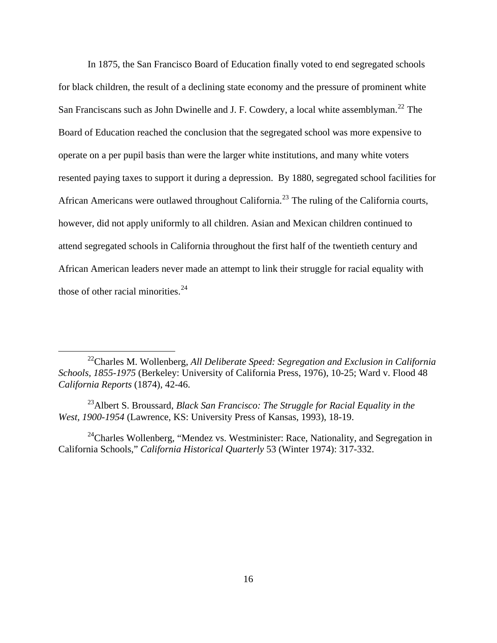In 1875, the San Francisco Board of Education finally voted to end segregated schools for black children, the result of a declining state economy and the pressure of prominent white San Franciscans such as John Dwinelle and J. F. Cowdery, a local white assemblyman.<sup>[22](#page-15-0)</sup> The Board of Education reached the conclusion that the segregated school was more expensive to operate on a per pupil basis than were the larger white institutions, and many white voters resented paying taxes to support it during a depression. By 1880, segregated school facilities for African Americans were outlawed throughout California.[23](#page-15-1) The ruling of the California courts, however, did not apply uniformly to all children. Asian and Mexican children continued to attend segregated schools in California throughout the first half of the twentieth century and African American leaders never made an attempt to link their struggle for racial equality with those of other racial minorities. $^{24}$  $^{24}$  $^{24}$ 

<span id="page-15-0"></span><sup>22</sup>Charles M. Wollenberg, *All Deliberate Speed: Segregation and Exclusion in California Schools, 1855-1975* (Berkeley: University of California Press, 1976), 10-25; Ward v. Flood 48 *California Reports* (1874), 42-46.

<span id="page-15-1"></span><sup>23</sup>Albert S. Broussard, *Black San Francisco: The Struggle for Racial Equality in the West, 1900-1954* (Lawrence, KS: University Press of Kansas, 1993), 18-19.

<span id="page-15-2"></span> $24$ Charles Wollenberg, "Mendez vs. Westminister: Race, Nationality, and Segregation in California Schools," *California Historical Quarterly* 53 (Winter 1974): 317-332.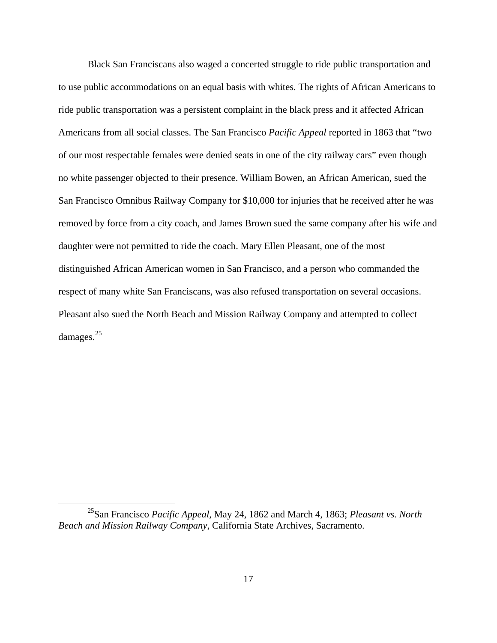Black San Franciscans also waged a concerted struggle to ride public transportation and to use public accommodations on an equal basis with whites. The rights of African Americans to ride public transportation was a persistent complaint in the black press and it affected African Americans from all social classes. The San Francisco *Pacific Appeal* reported in 1863 that "two of our most respectable females were denied seats in one of the city railway cars" even though no white passenger objected to their presence. William Bowen, an African American, sued the San Francisco Omnibus Railway Company for \$10,000 for injuries that he received after he was removed by force from a city coach, and James Brown sued the same company after his wife and daughter were not permitted to ride the coach. Mary Ellen Pleasant, one of the most distinguished African American women in San Francisco, and a person who commanded the respect of many white San Franciscans, was also refused transportation on several occasions. Pleasant also sued the North Beach and Mission Railway Company and attempted to collect damages.<sup>[25](#page-16-0)</sup>

<span id="page-16-0"></span><sup>25</sup>San Francisco *Pacific Appeal,* May 24, 1862 and March 4, 1863; *Pleasant vs. North Beach and Mission Railway Company*, California State Archives, Sacramento.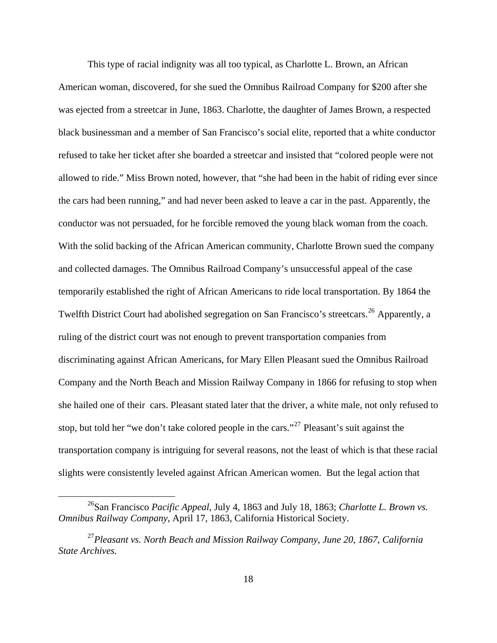This type of racial indignity was all too typical, as Charlotte L. Brown, an African American woman, discovered, for she sued the Omnibus Railroad Company for \$200 after she was ejected from a streetcar in June, 1863. Charlotte, the daughter of James Brown, a respected black businessman and a member of San Francisco's social elite, reported that a white conductor refused to take her ticket after she boarded a streetcar and insisted that "colored people were not allowed to ride." Miss Brown noted, however, that "she had been in the habit of riding ever since the cars had been running," and had never been asked to leave a car in the past. Apparently, the conductor was not persuaded, for he forcible removed the young black woman from the coach. With the solid backing of the African American community, Charlotte Brown sued the company and collected damages. The Omnibus Railroad Company's unsuccessful appeal of the case temporarily established the right of African Americans to ride local transportation. By 1864 the Twelfth District Court had abolished segregation on San Francisco's streetcars.<sup>[26](#page-17-0)</sup> Apparently, a ruling of the district court was not enough to prevent transportation companies from discriminating against African Americans, for Mary Ellen Pleasant sued the Omnibus Railroad Company and the North Beach and Mission Railway Company in 1866 for refusing to stop when she hailed one of their cars. Pleasant stated later that the driver, a white male, not only refused to stop, but told her "we don't take colored people in the cars."<sup>[27](#page-17-1)</sup> Pleasant's suit against the transportation company is intriguing for several reasons, not the least of which is that these racial slights were consistently leveled against African American women. But the legal action that

<span id="page-17-0"></span><sup>26</sup>San Francisco *Pacific Appeal*, July 4, 1863 and July 18, 1863; *Charlotte L. Brown vs. Omnibus Railway Company*, April 17, 1863, California Historical Society.

<span id="page-17-1"></span><sup>27</sup>*Pleasant vs. North Beach and Mission Railway Company, June 20, 1867, California State Archives.*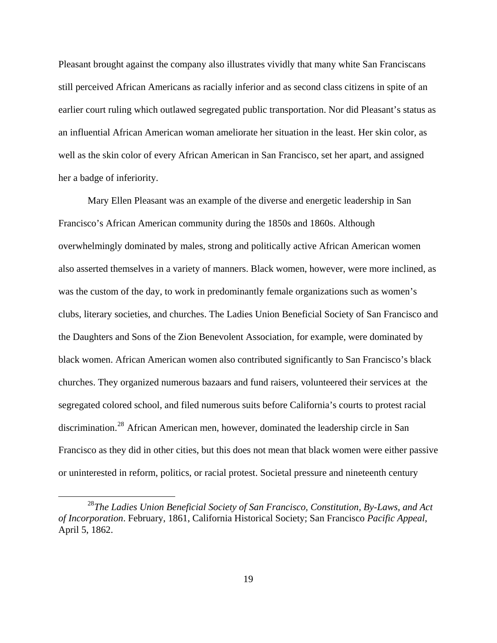Pleasant brought against the company also illustrates vividly that many white San Franciscans still perceived African Americans as racially inferior and as second class citizens in spite of an earlier court ruling which outlawed segregated public transportation. Nor did Pleasant's status as an influential African American woman ameliorate her situation in the least. Her skin color, as well as the skin color of every African American in San Francisco, set her apart, and assigned her a badge of inferiority.

Mary Ellen Pleasant was an example of the diverse and energetic leadership in San Francisco's African American community during the 1850s and 1860s. Although overwhelmingly dominated by males, strong and politically active African American women also asserted themselves in a variety of manners. Black women, however, were more inclined, as was the custom of the day, to work in predominantly female organizations such as women's clubs, literary societies, and churches. The Ladies Union Beneficial Society of San Francisco and the Daughters and Sons of the Zion Benevolent Association, for example, were dominated by black women. African American women also contributed significantly to San Francisco's black churches. They organized numerous bazaars and fund raisers, volunteered their services at the segregated colored school, and filed numerous suits before California's courts to protest racial discrimination.[28](#page-18-0) African American men, however, dominated the leadership circle in San Francisco as they did in other cities, but this does not mean that black women were either passive or uninterested in reform, politics, or racial protest. Societal pressure and nineteenth century

<span id="page-18-0"></span><sup>28</sup>*The Ladies Union Beneficial Society of San Francisco, Constitution, By-Laws, and Act of Incorporation*. February, 1861, California Historical Society; San Francisco *Pacific Appeal*, April 5, 1862.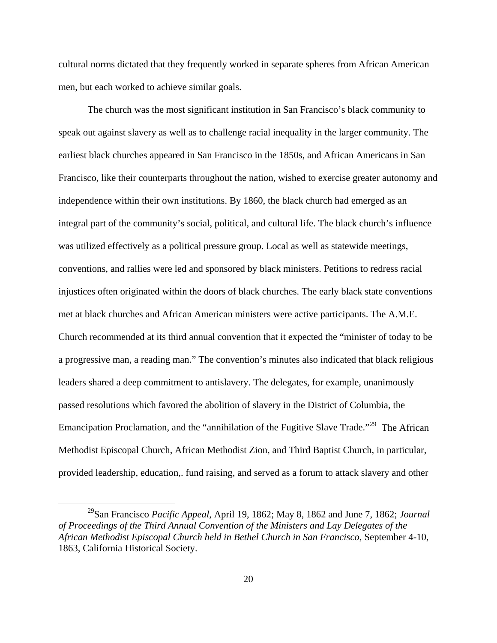cultural norms dictated that they frequently worked in separate spheres from African American men, but each worked to achieve similar goals.

The church was the most significant institution in San Francisco's black community to speak out against slavery as well as to challenge racial inequality in the larger community. The earliest black churches appeared in San Francisco in the 1850s, and African Americans in San Francisco, like their counterparts throughout the nation, wished to exercise greater autonomy and independence within their own institutions. By 1860, the black church had emerged as an integral part of the community's social, political, and cultural life. The black church's influence was utilized effectively as a political pressure group. Local as well as statewide meetings, conventions, and rallies were led and sponsored by black ministers. Petitions to redress racial injustices often originated within the doors of black churches. The early black state conventions met at black churches and African American ministers were active participants. The A.M.E. Church recommended at its third annual convention that it expected the "minister of today to be a progressive man, a reading man." The convention's minutes also indicated that black religious leaders shared a deep commitment to antislavery. The delegates, for example, unanimously passed resolutions which favored the abolition of slavery in the District of Columbia, the Emancipation Proclamation, and the "annihilation of the Fugitive Slave Trade."<sup>[29](#page-19-0)</sup> The African Methodist Episcopal Church, African Methodist Zion, and Third Baptist Church, in particular, provided leadership, education,. fund raising, and served as a forum to attack slavery and other

<span id="page-19-0"></span><sup>29</sup>San Francisco *Pacific Appeal*, April 19, 1862; May 8, 1862 and June 7, 1862; *Journal of Proceedings of the Third Annual Convention of the Ministers and Lay Delegates of the African Methodist Episcopal Church held in Bethel Church in San Francisco,* September 4-10, 1863, California Historical Society.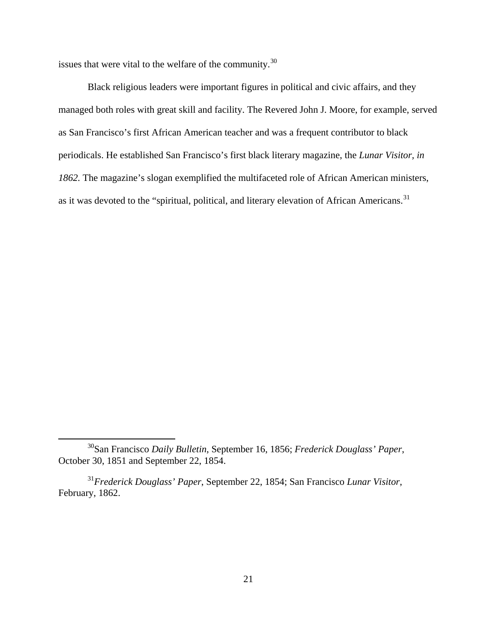issues that were vital to the welfare of the community.<sup>[30](#page-20-0)</sup>

Black religious leaders were important figures in political and civic affairs, and they managed both roles with great skill and facility. The Revered John J. Moore, for example, served as San Francisco's first African American teacher and was a frequent contributor to black periodicals. He established San Francisco's first black literary magazine, the *Lunar Visitor, in 1862.* The magazine's slogan exemplified the multifaceted role of African American ministers, as it was devoted to the "spiritual, political, and literary elevation of African Americans.<sup>[31](#page-20-1)</sup>

<span id="page-20-0"></span><sup>30</sup>San Francisco *Daily Bulletin*, September 16, 1856; *Frederick Douglass' Paper*, October 30, 1851 and September 22, 1854.

<span id="page-20-1"></span><sup>31</sup>*Frederick Douglass' Paper*, September 22, 1854; San Francisco *Lunar Visitor*, February, 1862.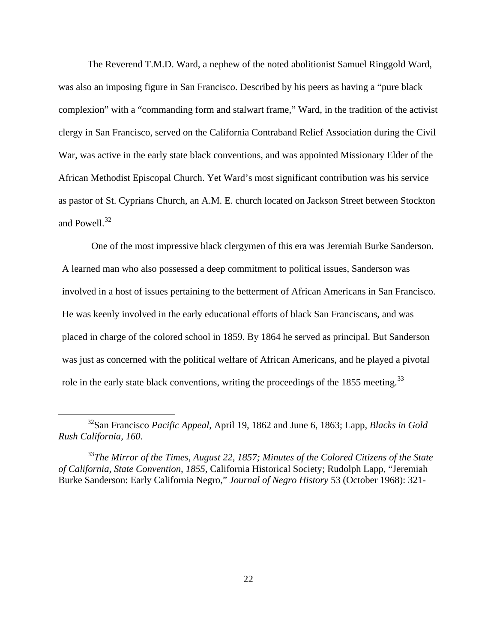The Reverend T.M.D. Ward, a nephew of the noted abolitionist Samuel Ringgold Ward, was also an imposing figure in San Francisco. Described by his peers as having a "pure black complexion" with a "commanding form and stalwart frame," Ward, in the tradition of the activist clergy in San Francisco, served on the California Contraband Relief Association during the Civil War, was active in the early state black conventions, and was appointed Missionary Elder of the African Methodist Episcopal Church. Yet Ward's most significant contribution was his service as pastor of St. Cyprians Church, an A.M. E. church located on Jackson Street between Stockton and Powell. $32$ 

One of the most impressive black clergymen of this era was Jeremiah Burke Sanderson. A learned man who also possessed a deep commitment to political issues, Sanderson was involved in a host of issues pertaining to the betterment of African Americans in San Francisco. He was keenly involved in the early educational efforts of black San Franciscans, and was placed in charge of the colored school in 1859. By 1864 he served as principal. But Sanderson was just as concerned with the political welfare of African Americans, and he played a pivotal role in the early state black conventions, writing the proceedings of the 1855 meeting.<sup>[33](#page-21-1)</sup>

<span id="page-21-0"></span><sup>32</sup>San Francisco *Pacific Appeal*, April 19, 1862 and June 6, 1863; Lapp, *Blacks in Gold Rush California, 160.*

<span id="page-21-1"></span><sup>33</sup>*The Mirror of the Times, August 22, 1857; Minutes of the Colored Citizens of the State of California, State Convention, 1855*, California Historical Society; Rudolph Lapp, "Jeremiah Burke Sanderson: Early California Negro," *Journal of Negro History* 53 (October 1968): 321-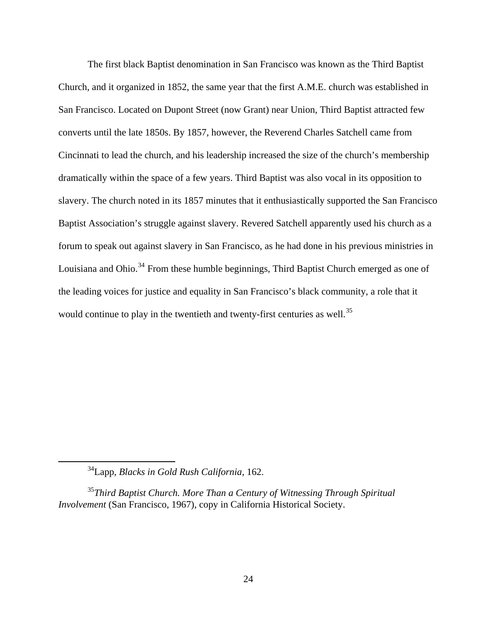The first black Baptist denomination in San Francisco was known as the Third Baptist Church, and it organized in 1852, the same year that the first A.M.E. church was established in San Francisco. Located on Dupont Street (now Grant) near Union, Third Baptist attracted few converts until the late 1850s. By 1857, however, the Reverend Charles Satchell came from Cincinnati to lead the church, and his leadership increased the size of the church's membership dramatically within the space of a few years. Third Baptist was also vocal in its opposition to slavery. The church noted in its 1857 minutes that it enthusiastically supported the San Francisco Baptist Association's struggle against slavery. Revered Satchell apparently used his church as a forum to speak out against slavery in San Francisco, as he had done in his previous ministries in Louisiana and Ohio.<sup>[34](#page-23-0)</sup> From these humble beginnings, Third Baptist Church emerged as one of the leading voices for justice and equality in San Francisco's black community, a role that it would continue to play in the twentieth and twenty-first centuries as well.<sup>[35](#page-23-1)</sup>

<sup>34</sup>Lapp, *Blacks in Gold Rush California*, 162.

<span id="page-23-1"></span><span id="page-23-0"></span><sup>35</sup>*Third Baptist Church. More Than a Century of Witnessing Through Spiritual Involvement* (San Francisco, 1967), copy in California Historical Society.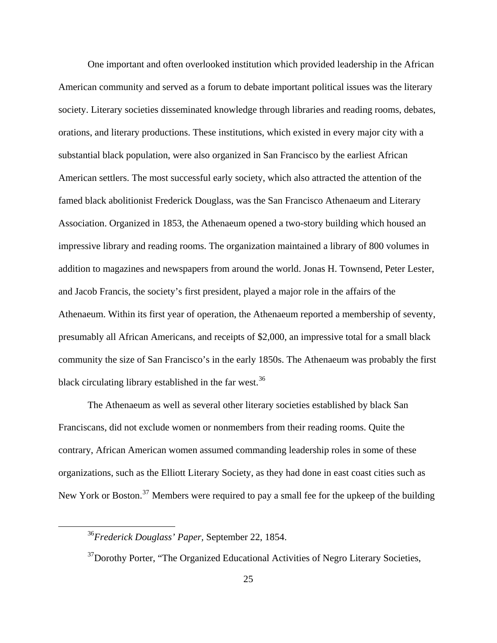One important and often overlooked institution which provided leadership in the African American community and served as a forum to debate important political issues was the literary society. Literary societies disseminated knowledge through libraries and reading rooms, debates, orations, and literary productions. These institutions, which existed in every major city with a substantial black population, were also organized in San Francisco by the earliest African American settlers. The most successful early society, which also attracted the attention of the famed black abolitionist Frederick Douglass, was the San Francisco Athenaeum and Literary Association. Organized in 1853, the Athenaeum opened a two-story building which housed an impressive library and reading rooms. The organization maintained a library of 800 volumes in addition to magazines and newspapers from around the world. Jonas H. Townsend, Peter Lester, and Jacob Francis, the society's first president, played a major role in the affairs of the Athenaeum. Within its first year of operation, the Athenaeum reported a membership of seventy, presumably all African Americans, and receipts of \$2,000, an impressive total for a small black community the size of San Francisco's in the early 1850s. The Athenaeum was probably the first black circulating library established in the far west.  $36$ 

The Athenaeum as well as several other literary societies established by black San Franciscans, did not exclude women or nonmembers from their reading rooms. Quite the contrary, African American women assumed commanding leadership roles in some of these organizations, such as the Elliott Literary Society, as they had done in east coast cities such as New York or Boston.<sup>[37](#page-24-1)</sup> Members were required to pay a small fee for the upkeep of the building

<span id="page-24-0"></span><sup>36</sup>*Frederick Douglass' Paper,* September 22, 1854.

<span id="page-24-1"></span><sup>&</sup>lt;sup>37</sup>Dorothy Porter, "The Organized Educational Activities of Negro Literary Societies,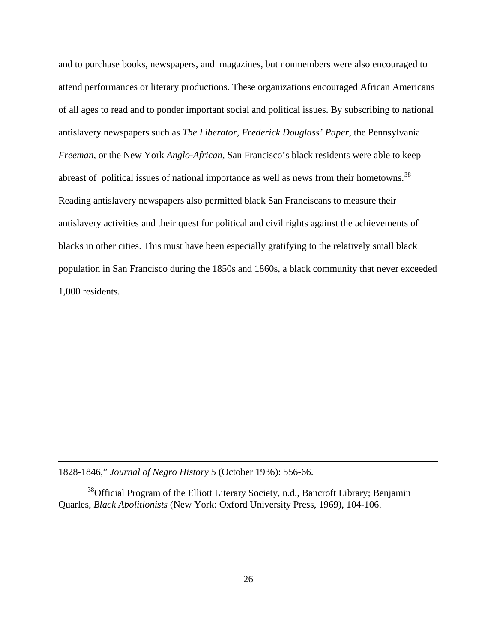and to purchase books, newspapers, and magazines, but nonmembers were also encouraged to attend performances or literary productions. These organizations encouraged African Americans of all ages to read and to ponder important social and political issues. By subscribing to national antislavery newspapers such as *The Liberator, Frederick Douglass' Paper*, the Pennsylvania *Freeman,* or the New York *Anglo-African,* San Francisco's black residents were able to keep abreast of political issues of national importance as well as news from their hometowns.<sup>[38](#page-25-0)</sup> Reading antislavery newspapers also permitted black San Franciscans to measure their antislavery activities and their quest for political and civil rights against the achievements of blacks in other cities. This must have been especially gratifying to the relatively small black population in San Francisco during the 1850s and 1860s, a black community that never exceeded 1,000 residents.

1828-1846," *Journal of Negro History* 5 (October 1936): 556-66.

 $\overline{a}$ 

<span id="page-25-0"></span><sup>38</sup>Official Program of the Elliott Literary Society, n.d., Bancroft Library; Benjamin Quarles, *Black Abolitionists* (New York: Oxford University Press, 1969), 104-106.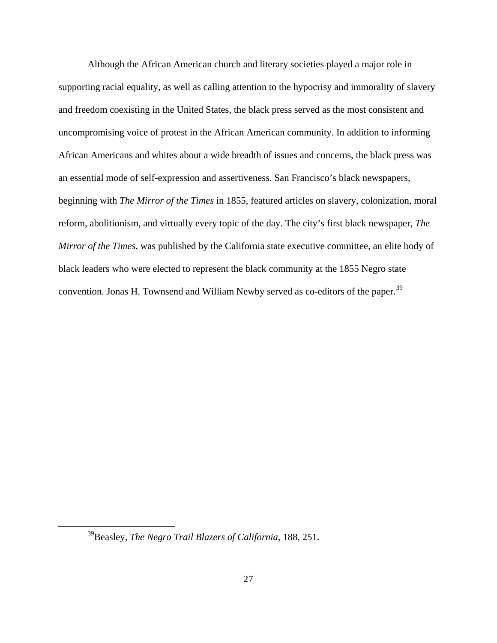Although the African American church and literary societies played a major role in supporting racial equality, as well as calling attention to the hypocrisy and immorality of slavery and freedom coexisting in the United States, the black press served as the most consistent and uncompromising voice of protest in the African American community. In addition to informing African Americans and whites about a wide breadth of issues and concerns, the black press was an essential mode of self-expression and assertiveness. San Francisco's black newspapers, beginning with *The Mirror of the Times* in 1855, featured articles on slavery, colonization, moral reform, abolitionism, and virtually every topic of the day. The city's first black newspaper, *The Mirror of the Times,* was published by the California state executive committee, an elite body of black leaders who were elected to represent the black community at the 1855 Negro state convention. Jonas H. Townsend and William Newby served as co-editors of the paper.<sup>[39](#page-26-0)</sup>

<span id="page-26-0"></span><sup>39</sup>Beasley, *The Negro Trail Blazers of California*, 188, 251.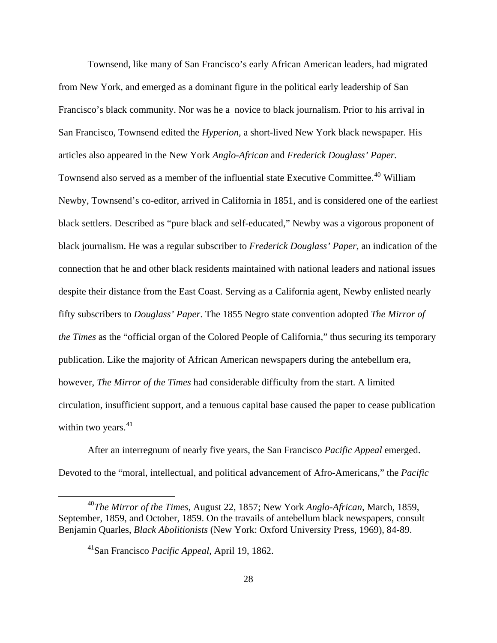Townsend, like many of San Francisco's early African American leaders, had migrated from New York, and emerged as a dominant figure in the political early leadership of San Francisco's black community. Nor was he a novice to black journalism. Prior to his arrival in San Francisco, Townsend edited the *Hyperion,* a short-lived New York black newspaper*.* His articles also appeared in the New York *Anglo-African* and *Frederick Douglass' Paper.* Townsend also served as a member of the influential state Executive Committee.<sup>[40](#page-27-0)</sup> William Newby, Townsend's co-editor, arrived in California in 1851, and is considered one of the earliest black settlers. Described as "pure black and self-educated," Newby was a vigorous proponent of black journalism. He was a regular subscriber to *Frederick Douglass' Paper,* an indication of the connection that he and other black residents maintained with national leaders and national issues despite their distance from the East Coast. Serving as a California agent, Newby enlisted nearly fifty subscribers to *Douglass' Paper*. The 1855 Negro state convention adopted *The Mirror of the Times* as the "official organ of the Colored People of California," thus securing its temporary publication. Like the majority of African American newspapers during the antebellum era, however, *The Mirror of the Times* had considerable difficulty from the start. A limited circulation, insufficient support, and a tenuous capital base caused the paper to cease publication within two years. $41$ 

After an interregnum of nearly five years, the San Francisco *Pacific Appeal* emerged. Devoted to the "moral, intellectual, and political advancement of Afro-Americans," the *Pacific* 

<span id="page-27-1"></span><span id="page-27-0"></span><sup>40</sup>*The Mirror of the Times,* August 22, 1857; New York *Anglo-African,* March, 1859, September, 1859, and October, 1859. On the travails of antebellum black newspapers, consult Benjamin Quarles, *Black Abolitionists* (New York: Oxford University Press, 1969), 84-89.

<sup>41</sup>San Francisco *Pacific Appeal,* April 19, 1862.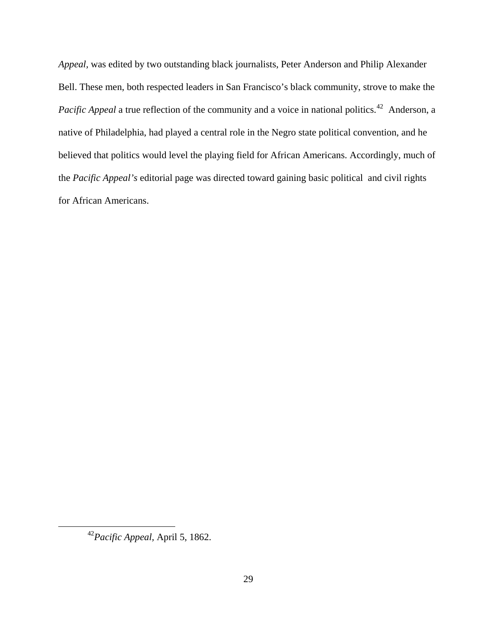*Appeal,* was edited by two outstanding black journalists, Peter Anderson and Philip Alexander Bell. These men, both respected leaders in San Francisco's black community, strove to make the *Pacific Appeal* a true reflection of the community and a voice in national politics.<sup>[42](#page-28-0)</sup> Anderson, a native of Philadelphia, had played a central role in the Negro state political convention, and he believed that politics would level the playing field for African Americans. Accordingly, much of the *Pacific Appeal's* editorial page was directed toward gaining basic political and civil rights for African Americans.

<span id="page-28-0"></span><sup>42</sup>*Pacific Appeal,* April 5, 1862.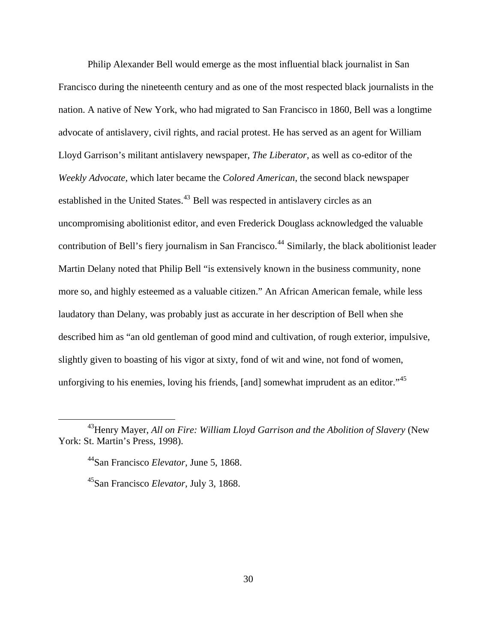Philip Alexander Bell would emerge as the most influential black journalist in San Francisco during the nineteenth century and as one of the most respected black journalists in the nation. A native of New York, who had migrated to San Francisco in 1860, Bell was a longtime advocate of antislavery, civil rights, and racial protest. He has served as an agent for William Lloyd Garrison's militant antislavery newspaper, *The Liberator,* as well as co-editor of the *Weekly Advocate,* which later became the *Colored American*, the second black newspaper established in the United States.<sup>[43](#page-29-0)</sup> Bell was respected in antislavery circles as an uncompromising abolitionist editor, and even Frederick Douglass acknowledged the valuable contribution of Bell's fiery journalism in San Francisco.<sup>[44](#page-29-1)</sup> Similarly, the black abolitionist leader Martin Delany noted that Philip Bell "is extensively known in the business community, none more so, and highly esteemed as a valuable citizen." An African American female, while less laudatory than Delany, was probably just as accurate in her description of Bell when she described him as "an old gentleman of good mind and cultivation, of rough exterior, impulsive, slightly given to boasting of his vigor at sixty, fond of wit and wine, not fond of women, unforgiving to his enemies, loving his friends, [and] somewhat imprudent as an editor."<sup>[45](#page-29-2)</sup>

<span id="page-29-2"></span><span id="page-29-1"></span><span id="page-29-0"></span><sup>&</sup>lt;sup>43</sup> Henry Mayer, *All on Fire: William Lloyd Garrison and the Abolition of Slavery* (New York: St. Martin's Press, 1998).

<sup>44</sup>San Francisco *Elevator,* June 5, 1868.

<sup>45</sup>San Francisco *Elevator,* July 3, 1868.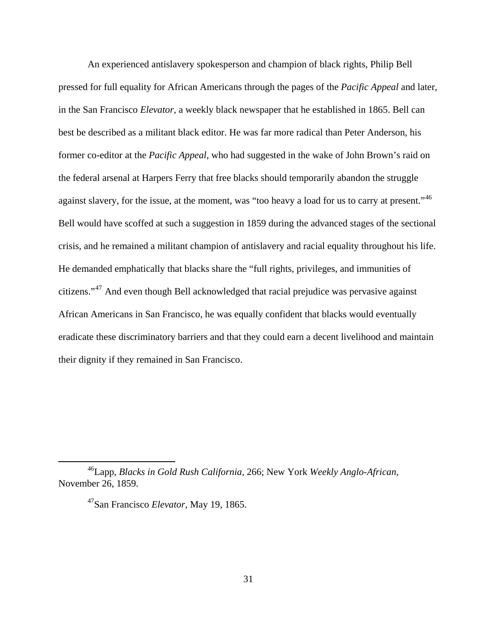An experienced antislavery spokesperson and champion of black rights, Philip Bell pressed for full equality for African Americans through the pages of the *Pacific Appeal* and later, in the San Francisco *Elevator,* a weekly black newspaper that he established in 1865. Bell can best be described as a militant black editor. He was far more radical than Peter Anderson, his former co-editor at the *Pacific Appeal*, who had suggested in the wake of John Brown's raid on the federal arsenal at Harpers Ferry that free blacks should temporarily abandon the struggle against slavery, for the issue, at the moment, was "too heavy a load for us to carry at present."<sup>[46](#page-30-0)</sup> Bell would have scoffed at such a suggestion in 1859 during the advanced stages of the sectional crisis, and he remained a militant champion of antislavery and racial equality throughout his life. He demanded emphatically that blacks share the "full rights, privileges, and immunities of citizens."[47](#page-30-1) And even though Bell acknowledged that racial prejudice was pervasive against African Americans in San Francisco, he was equally confident that blacks would eventually eradicate these discriminatory barriers and that they could earn a decent livelihood and maintain their dignity if they remained in San Francisco.

<span id="page-30-1"></span><span id="page-30-0"></span><sup>46</sup>Lapp, *Blacks in Gold Rush California,* 266; New York *Weekly Anglo-African,*  November 26, 1859.

<sup>47</sup>San Francisco *Elevator,* May 19, 1865.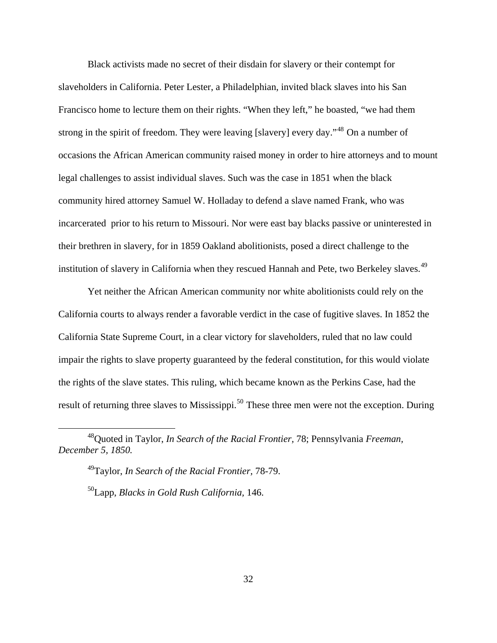Black activists made no secret of their disdain for slavery or their contempt for slaveholders in California. Peter Lester, a Philadelphian, invited black slaves into his San Francisco home to lecture them on their rights. "When they left," he boasted, "we had them strong in the spirit of freedom. They were leaving [slavery] every day."<sup>[48](#page-31-0)</sup> On a number of occasions the African American community raised money in order to hire attorneys and to mount legal challenges to assist individual slaves. Such was the case in 1851 when the black community hired attorney Samuel W. Holladay to defend a slave named Frank, who was incarcerated prior to his return to Missouri. Nor were east bay blacks passive or uninterested in their brethren in slavery, for in 1859 Oakland abolitionists, posed a direct challenge to the institution of slavery in California when they rescued Hannah and Pete, two Berkeley slaves.<sup>[49](#page-31-1)</sup>

Yet neither the African American community nor white abolitionists could rely on the California courts to always render a favorable verdict in the case of fugitive slaves. In 1852 the California State Supreme Court, in a clear victory for slaveholders, ruled that no law could impair the rights to slave property guaranteed by the federal constitution, for this would violate the rights of the slave states. This ruling, which became known as the Perkins Case, had the result of returning three slaves to Mississippi.<sup>[50](#page-31-2)</sup> These three men were not the exception. During

49Taylor, *In Search of the Racial Frontier,* 78-79.

50Lapp, *Blacks in Gold Rush California,* 146.

<span id="page-31-2"></span><span id="page-31-1"></span><span id="page-31-0"></span><sup>48</sup>Quoted in Taylor, *In Search of the Racial Frontier,* 78; Pennsylvania *Freeman, December 5, 1850.*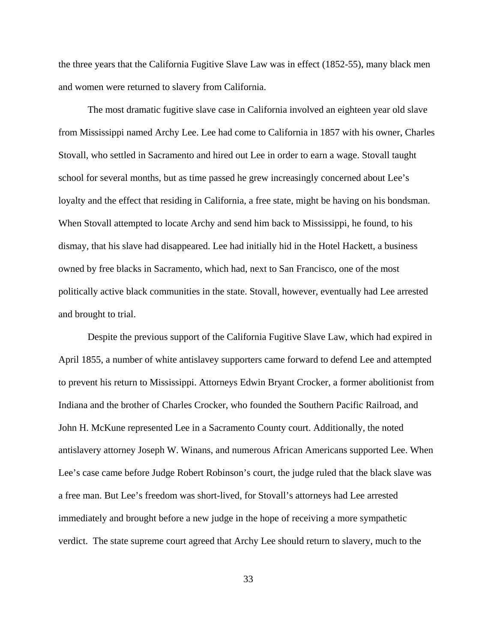the three years that the California Fugitive Slave Law was in effect (1852-55), many black men and women were returned to slavery from California.

The most dramatic fugitive slave case in California involved an eighteen year old slave from Mississippi named Archy Lee. Lee had come to California in 1857 with his owner, Charles Stovall, who settled in Sacramento and hired out Lee in order to earn a wage. Stovall taught school for several months, but as time passed he grew increasingly concerned about Lee's loyalty and the effect that residing in California, a free state, might be having on his bondsman. When Stovall attempted to locate Archy and send him back to Mississippi, he found, to his dismay, that his slave had disappeared. Lee had initially hid in the Hotel Hackett, a business owned by free blacks in Sacramento, which had, next to San Francisco, one of the most politically active black communities in the state. Stovall, however, eventually had Lee arrested and brought to trial.

Despite the previous support of the California Fugitive Slave Law, which had expired in April 1855, a number of white antislavey supporters came forward to defend Lee and attempted to prevent his return to Mississippi. Attorneys Edwin Bryant Crocker, a former abolitionist from Indiana and the brother of Charles Crocker, who founded the Southern Pacific Railroad, and John H. McKune represented Lee in a Sacramento County court. Additionally, the noted antislavery attorney Joseph W. Winans, and numerous African Americans supported Lee. When Lee's case came before Judge Robert Robinson's court, the judge ruled that the black slave was a free man. But Lee's freedom was short-lived, for Stovall's attorneys had Lee arrested immediately and brought before a new judge in the hope of receiving a more sympathetic verdict. The state supreme court agreed that Archy Lee should return to slavery, much to the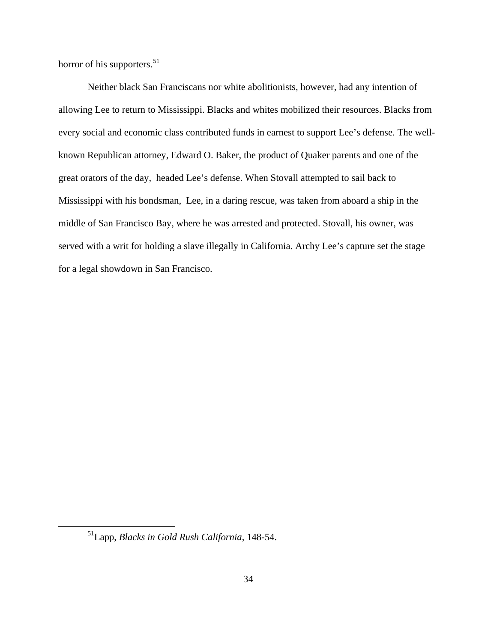horror of his supporters.<sup>[51](#page-33-0)</sup>

Neither black San Franciscans nor white abolitionists, however, had any intention of allowing Lee to return to Mississippi. Blacks and whites mobilized their resources. Blacks from every social and economic class contributed funds in earnest to support Lee's defense. The wellknown Republican attorney, Edward O. Baker, the product of Quaker parents and one of the great orators of the day, headed Lee's defense. When Stovall attempted to sail back to Mississippi with his bondsman, Lee, in a daring rescue, was taken from aboard a ship in the middle of San Francisco Bay, where he was arrested and protected. Stovall, his owner, was served with a writ for holding a slave illegally in California. Archy Lee's capture set the stage for a legal showdown in San Francisco.

<span id="page-33-0"></span><sup>51</sup>Lapp, *Blacks in Gold Rush California*, 148-54.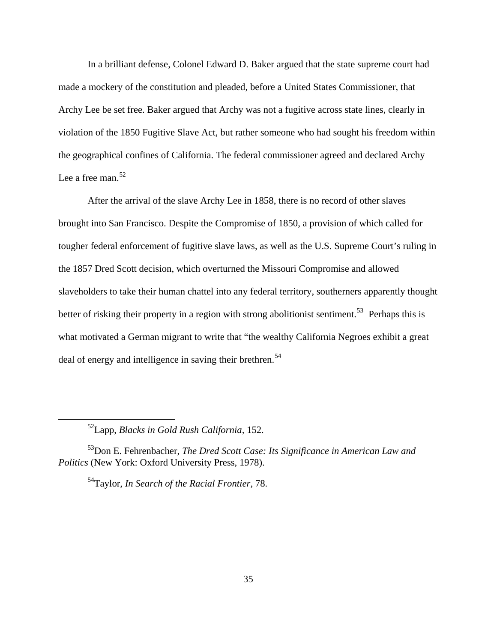In a brilliant defense, Colonel Edward D. Baker argued that the state supreme court had made a mockery of the constitution and pleaded, before a United States Commissioner, that Archy Lee be set free. Baker argued that Archy was not a fugitive across state lines, clearly in violation of the 1850 Fugitive Slave Act, but rather someone who had sought his freedom within the geographical confines of California. The federal commissioner agreed and declared Archy Lee a free man.  $52$ 

After the arrival of the slave Archy Lee in 1858, there is no record of other slaves brought into San Francisco. Despite the Compromise of 1850, a provision of which called for tougher federal enforcement of fugitive slave laws, as well as the U.S. Supreme Court's ruling in the 1857 Dred Scott decision, which overturned the Missouri Compromise and allowed slaveholders to take their human chattel into any federal territory, southerners apparently thought better of risking their property in a region with strong abolitionist sentiment.<sup>[53](#page-34-1)</sup> Perhaps this is what motivated a German migrant to write that "the wealthy California Negroes exhibit a great deal of energy and intelligence in saving their brethren.<sup>[54](#page-34-2)</sup>

<span id="page-34-0"></span> $\overline{a}$ 

54Taylor, *In Search of the Racial Frontier,* 78.

<sup>52</sup>Lapp, *Blacks in Gold Rush California,* 152.

<span id="page-34-2"></span><span id="page-34-1"></span><sup>53</sup>Don E. Fehrenbacher, *The Dred Scott Case: Its Significance in American Law and Politics* (New York: Oxford University Press, 1978).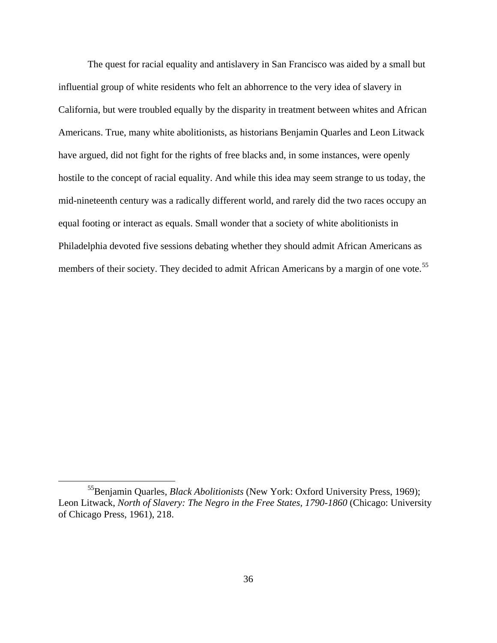The quest for racial equality and antislavery in San Francisco was aided by a small but influential group of white residents who felt an abhorrence to the very idea of slavery in California, but were troubled equally by the disparity in treatment between whites and African Americans. True, many white abolitionists, as historians Benjamin Quarles and Leon Litwack have argued, did not fight for the rights of free blacks and, in some instances, were openly hostile to the concept of racial equality. And while this idea may seem strange to us today, the mid-nineteenth century was a radically different world, and rarely did the two races occupy an equal footing or interact as equals. Small wonder that a society of white abolitionists in Philadelphia devoted five sessions debating whether they should admit African Americans as members of their society. They decided to admit African Americans by a margin of one vote.<sup>[55](#page-35-0)</sup>

<span id="page-35-0"></span><sup>55</sup>Benjamin Quarles, *Black Abolitionists* (New York: Oxford University Press, 1969); Leon Litwack, *North of Slavery: The Negro in the Free States, 1790-1860* (Chicago: University of Chicago Press, 1961), 218.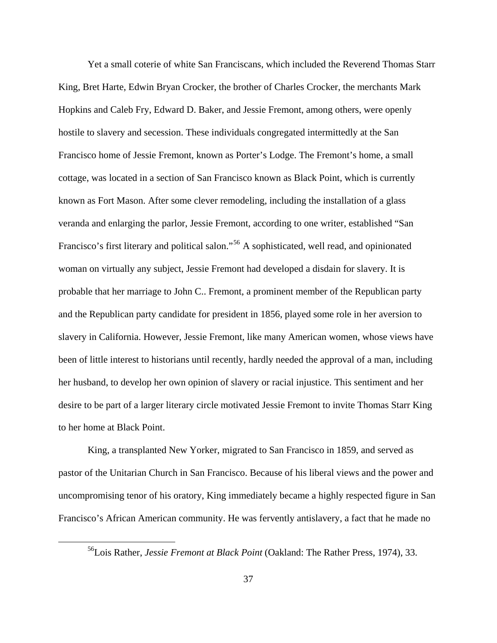Yet a small coterie of white San Franciscans, which included the Reverend Thomas Starr King, Bret Harte, Edwin Bryan Crocker, the brother of Charles Crocker, the merchants Mark Hopkins and Caleb Fry, Edward D. Baker, and Jessie Fremont, among others, were openly hostile to slavery and secession. These individuals congregated intermittedly at the San Francisco home of Jessie Fremont, known as Porter's Lodge. The Fremont's home, a small cottage, was located in a section of San Francisco known as Black Point, which is currently known as Fort Mason. After some clever remodeling, including the installation of a glass veranda and enlarging the parlor, Jessie Fremont, according to one writer, established "San Francisco's first literary and political salon."[56](#page-36-0) A sophisticated, well read, and opinionated woman on virtually any subject, Jessie Fremont had developed a disdain for slavery. It is probable that her marriage to John C.. Fremont, a prominent member of the Republican party and the Republican party candidate for president in 1856, played some role in her aversion to slavery in California. However, Jessie Fremont, like many American women, whose views have been of little interest to historians until recently, hardly needed the approval of a man, including her husband, to develop her own opinion of slavery or racial injustice. This sentiment and her desire to be part of a larger literary circle motivated Jessie Fremont to invite Thomas Starr King to her home at Black Point.

King, a transplanted New Yorker, migrated to San Francisco in 1859, and served as pastor of the Unitarian Church in San Francisco. Because of his liberal views and the power and uncompromising tenor of his oratory, King immediately became a highly respected figure in San Francisco's African American community. He was fervently antislavery, a fact that he made no

<span id="page-36-0"></span><sup>56</sup>Lois Rather, *Jessie Fremont at Black Point* (Oakland: The Rather Press, 1974), 33.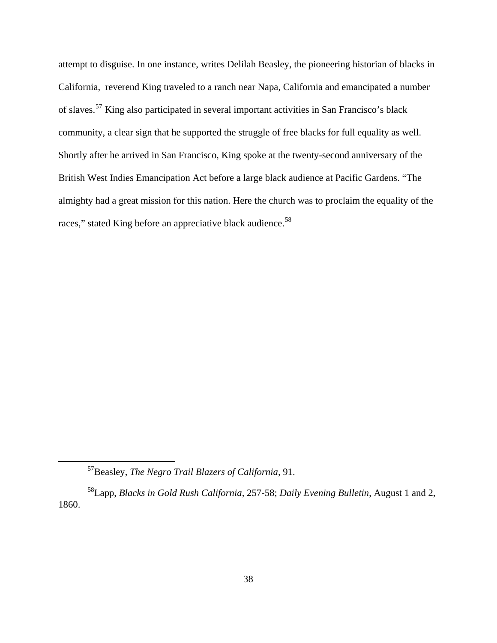attempt to disguise. In one instance, writes Delilah Beasley, the pioneering historian of blacks in California, reverend King traveled to a ranch near Napa, California and emancipated a number of slaves.[57](#page-37-0) King also participated in several important activities in San Francisco's black community, a clear sign that he supported the struggle of free blacks for full equality as well. Shortly after he arrived in San Francisco, King spoke at the twenty-second anniversary of the British West Indies Emancipation Act before a large black audience at Pacific Gardens. "The almighty had a great mission for this nation. Here the church was to proclaim the equality of the races," stated King before an appreciative black audience.<sup>[58](#page-37-1)</sup>

<sup>57</sup>Beasley, *The Negro Trail Blazers of California,* 91.

<span id="page-37-1"></span><span id="page-37-0"></span><sup>58</sup>Lapp, *Blacks in Gold Rush California,* 257-58; *Daily Evening Bulletin*, August 1 and 2, 1860.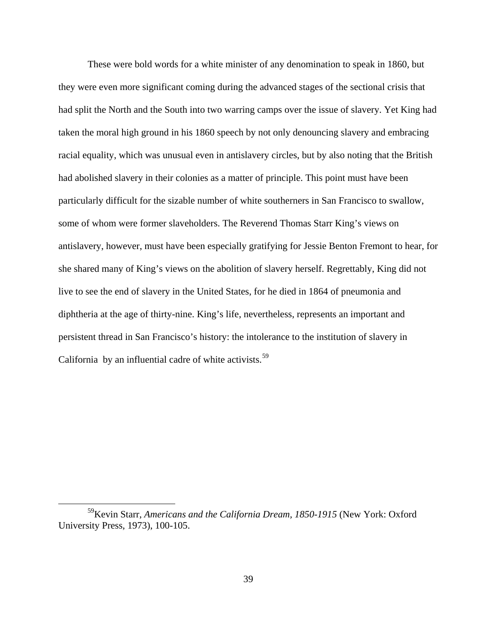These were bold words for a white minister of any denomination to speak in 1860, but they were even more significant coming during the advanced stages of the sectional crisis that had split the North and the South into two warring camps over the issue of slavery. Yet King had taken the moral high ground in his 1860 speech by not only denouncing slavery and embracing racial equality, which was unusual even in antislavery circles, but by also noting that the British had abolished slavery in their colonies as a matter of principle. This point must have been particularly difficult for the sizable number of white southerners in San Francisco to swallow, some of whom were former slaveholders. The Reverend Thomas Starr King's views on antislavery, however, must have been especially gratifying for Jessie Benton Fremont to hear, for she shared many of King's views on the abolition of slavery herself. Regrettably, King did not live to see the end of slavery in the United States, for he died in 1864 of pneumonia and diphtheria at the age of thirty-nine. King's life, nevertheless, represents an important and persistent thread in San Francisco's history: the intolerance to the institution of slavery in California by an influential cadre of white activists.<sup>[59](#page-38-0)</sup>

<span id="page-38-0"></span><sup>59</sup>Kevin Starr, *Americans and the California Dream, 1850-1915* (New York: Oxford University Press, 1973), 100-105.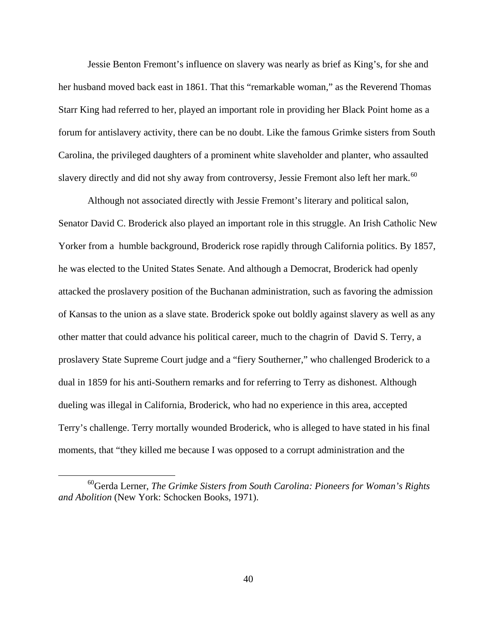Jessie Benton Fremont's influence on slavery was nearly as brief as King's, for she and her husband moved back east in 1861. That this "remarkable woman," as the Reverend Thomas Starr King had referred to her, played an important role in providing her Black Point home as a forum for antislavery activity, there can be no doubt. Like the famous Grimke sisters from South Carolina, the privileged daughters of a prominent white slaveholder and planter, who assaulted slavery directly and did not shy away from controversy, Jessie Fremont also left her mark.<sup>[60](#page-39-0)</sup>

Although not associated directly with Jessie Fremont's literary and political salon, Senator David C. Broderick also played an important role in this struggle. An Irish Catholic New Yorker from a humble background, Broderick rose rapidly through California politics. By 1857, he was elected to the United States Senate. And although a Democrat, Broderick had openly attacked the proslavery position of the Buchanan administration, such as favoring the admission of Kansas to the union as a slave state. Broderick spoke out boldly against slavery as well as any other matter that could advance his political career, much to the chagrin of David S. Terry, a proslavery State Supreme Court judge and a "fiery Southerner," who challenged Broderick to a dual in 1859 for his anti-Southern remarks and for referring to Terry as dishonest. Although dueling was illegal in California, Broderick, who had no experience in this area, accepted Terry's challenge. Terry mortally wounded Broderick, who is alleged to have stated in his final moments, that "they killed me because I was opposed to a corrupt administration and the

<span id="page-39-0"></span><sup>60</sup>Gerda Lerner, *The Grimke Sisters from South Carolina: Pioneers for Woman's Rights and Abolition* (New York: Schocken Books, 1971).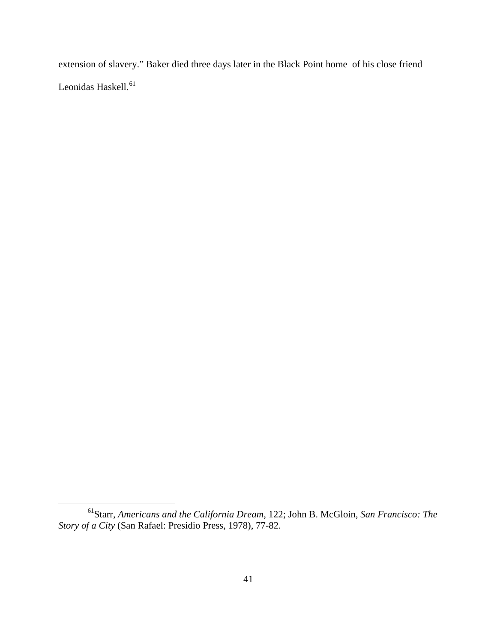extension of slavery." Baker died three days later in the Black Point home of his close friend Leonidas Haskell.<sup>[61](#page-40-0)</sup>

<span id="page-40-0"></span><sup>61</sup>Starr, *Americans and the California Dream,* 122; John B. McGloin, *San Francisco: The Story of a City* (San Rafael: Presidio Press, 1978), 77-82.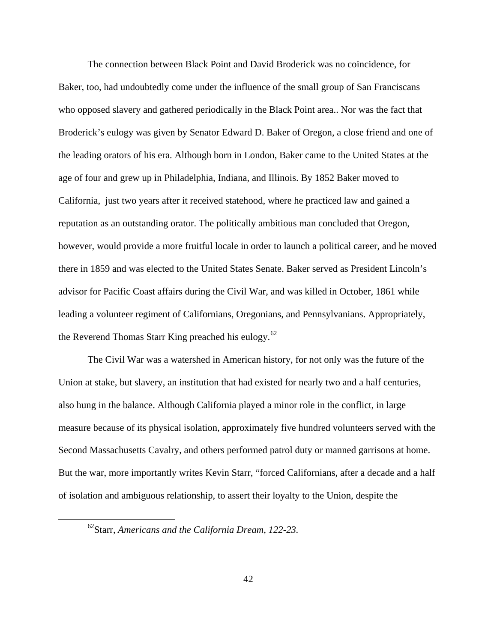The connection between Black Point and David Broderick was no coincidence, for Baker, too, had undoubtedly come under the influence of the small group of San Franciscans who opposed slavery and gathered periodically in the Black Point area.. Nor was the fact that Broderick's eulogy was given by Senator Edward D. Baker of Oregon, a close friend and one of the leading orators of his era. Although born in London, Baker came to the United States at the age of four and grew up in Philadelphia, Indiana, and Illinois. By 1852 Baker moved to California, just two years after it received statehood, where he practiced law and gained a reputation as an outstanding orator. The politically ambitious man concluded that Oregon, however, would provide a more fruitful locale in order to launch a political career, and he moved there in 1859 and was elected to the United States Senate. Baker served as President Lincoln's advisor for Pacific Coast affairs during the Civil War, and was killed in October, 1861 while leading a volunteer regiment of Californians, Oregonians, and Pennsylvanians. Appropriately, the Reverend Thomas Starr King preached his eulogy. $62$ 

The Civil War was a watershed in American history, for not only was the future of the Union at stake, but slavery, an institution that had existed for nearly two and a half centuries, also hung in the balance. Although California played a minor role in the conflict, in large measure because of its physical isolation, approximately five hundred volunteers served with the Second Massachusetts Cavalry, and others performed patrol duty or manned garrisons at home. But the war, more importantly writes Kevin Starr, "forced Californians, after a decade and a half of isolation and ambiguous relationship, to assert their loyalty to the Union, despite the

<span id="page-41-0"></span><sup>62</sup>Starr, *Americans and the California Dream, 122-23.*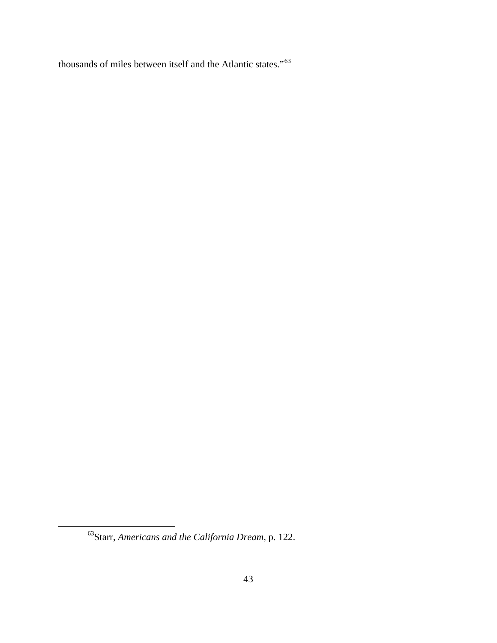thousands of miles between itself and the Atlantic states."[63](#page-42-0) 

<span id="page-42-0"></span><sup>63</sup>Starr, *Americans and the California Dream,* p. 122.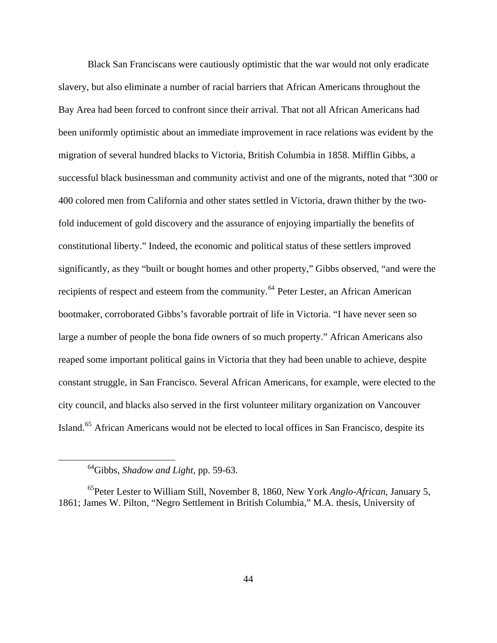Black San Franciscans were cautiously optimistic that the war would not only eradicate slavery, but also eliminate a number of racial barriers that African Americans throughout the Bay Area had been forced to confront since their arrival. That not all African Americans had been uniformly optimistic about an immediate improvement in race relations was evident by the migration of several hundred blacks to Victoria, British Columbia in 1858. Mifflin Gibbs, a successful black businessman and community activist and one of the migrants, noted that "300 or 400 colored men from California and other states settled in Victoria, drawn thither by the twofold inducement of gold discovery and the assurance of enjoying impartially the benefits of constitutional liberty." Indeed, the economic and political status of these settlers improved significantly, as they "built or bought homes and other property," Gibbs observed, "and were the recipients of respect and esteem from the community.<sup>[64](#page-43-0)</sup> Peter Lester, an African American bootmaker, corroborated Gibbs's favorable portrait of life in Victoria. "I have never seen so large a number of people the bona fide owners of so much property." African Americans also reaped some important political gains in Victoria that they had been unable to achieve, despite constant struggle, in San Francisco. Several African Americans, for example, were elected to the city council, and blacks also served in the first volunteer military organization on Vancouver Island.<sup>[65](#page-43-1)</sup> African Americans would not be elected to local offices in San Francisco, despite its

<sup>64</sup>Gibbs, *Shadow and Light,* pp. 59-63.

<span id="page-43-1"></span><span id="page-43-0"></span><sup>65</sup>Peter Lester to William Still, November 8, 1860, New York *Anglo-African,* January 5, 1861; James W. Pilton, "Negro Settlement in British Columbia," M.A. thesis, University of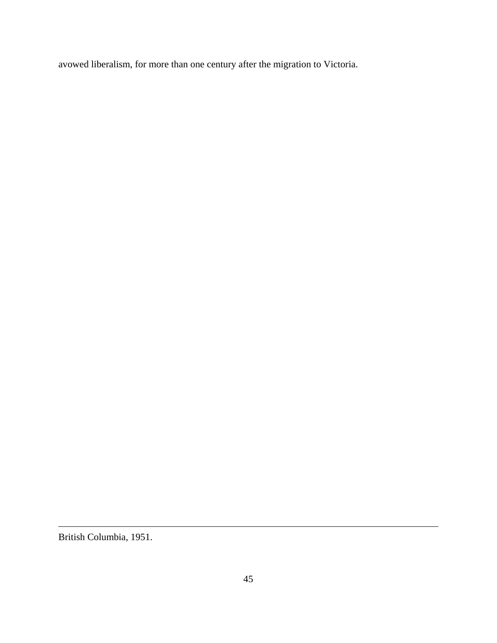avowed liberalism, for more than one century after the migration to Victoria.

British Columbia, 1951.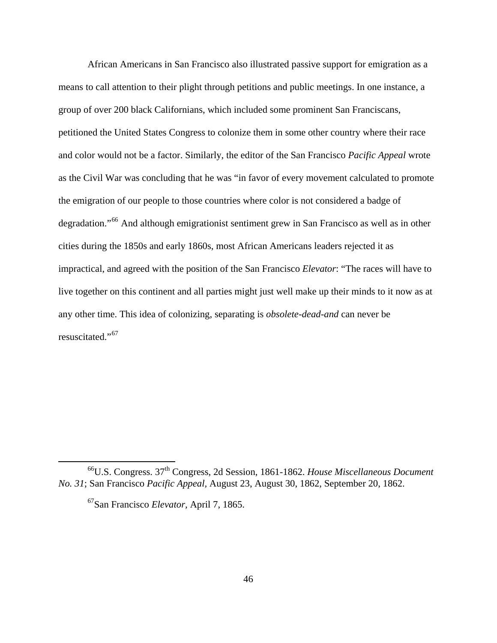African Americans in San Francisco also illustrated passive support for emigration as a means to call attention to their plight through petitions and public meetings. In one instance, a group of over 200 black Californians, which included some prominent San Franciscans, petitioned the United States Congress to colonize them in some other country where their race and color would not be a factor. Similarly, the editor of the San Francisco *Pacific Appeal* wrote as the Civil War was concluding that he was "in favor of every movement calculated to promote the emigration of our people to those countries where color is not considered a badge of degradation."[66](#page-45-0) And although emigrationist sentiment grew in San Francisco as well as in other cities during the 1850s and early 1860s, most African Americans leaders rejected it as impractical, and agreed with the position of the San Francisco *Elevator*: "The races will have to live together on this continent and all parties might just well make up their minds to it now as at any other time. This idea of colonizing, separating is *obsolete-dead-and* can never be resuscitated."<sup>[67](#page-45-1)</sup>

<span id="page-45-1"></span><span id="page-45-0"></span><sup>66</sup>U.S. Congress. 37th Congress, 2d Session, 1861-1862. *House Miscellaneous Document No. 31*; San Francisco *Pacific Appeal,* August 23, August 30, 1862, September 20, 1862.

<sup>67</sup>San Francisco *Elevator,* April 7, 1865.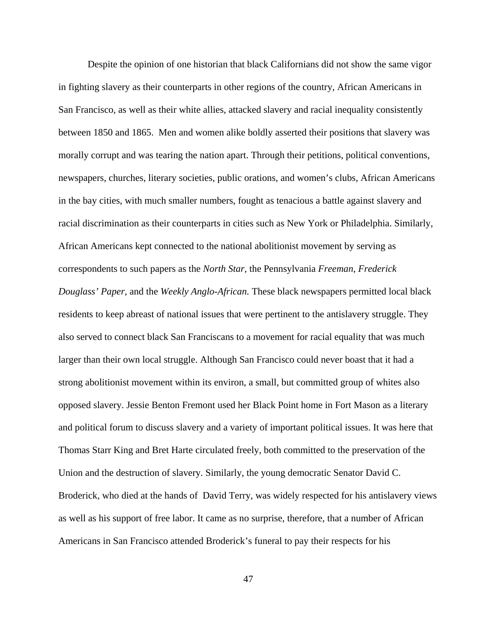Despite the opinion of one historian that black Californians did not show the same vigor in fighting slavery as their counterparts in other regions of the country, African Americans in San Francisco, as well as their white allies, attacked slavery and racial inequality consistently between 1850 and 1865. Men and women alike boldly asserted their positions that slavery was morally corrupt and was tearing the nation apart. Through their petitions, political conventions, newspapers, churches, literary societies, public orations, and women's clubs, African Americans in the bay cities, with much smaller numbers, fought as tenacious a battle against slavery and racial discrimination as their counterparts in cities such as New York or Philadelphia. Similarly, African Americans kept connected to the national abolitionist movement by serving as correspondents to such papers as the *North Star,* the Pennsylvania *Freeman, Frederick Douglass' Paper,* and the *Weekly Anglo-African.* These black newspapers permitted local black residents to keep abreast of national issues that were pertinent to the antislavery struggle. They also served to connect black San Franciscans to a movement for racial equality that was much larger than their own local struggle. Although San Francisco could never boast that it had a strong abolitionist movement within its environ, a small, but committed group of whites also opposed slavery. Jessie Benton Fremont used her Black Point home in Fort Mason as a literary and political forum to discuss slavery and a variety of important political issues. It was here that Thomas Starr King and Bret Harte circulated freely, both committed to the preservation of the Union and the destruction of slavery. Similarly, the young democratic Senator David C. Broderick, who died at the hands of David Terry, was widely respected for his antislavery views as well as his support of free labor. It came as no surprise, therefore, that a number of African Americans in San Francisco attended Broderick's funeral to pay their respects for his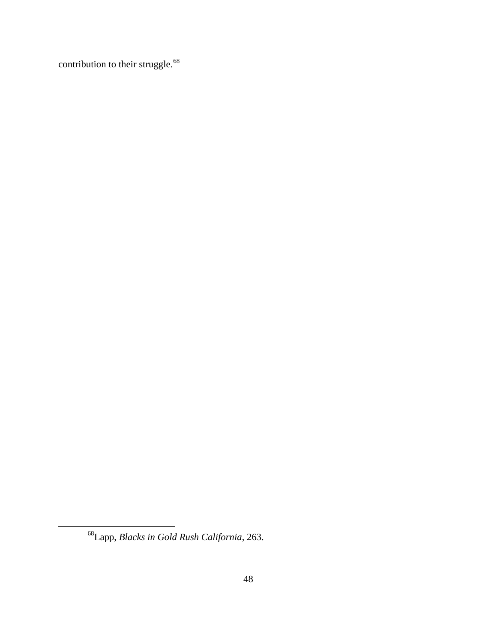contribution to their struggle.<sup>[68](#page-47-0)</sup>

<span id="page-47-0"></span><sup>68</sup>Lapp, *Blacks in Gold Rush California,* 263.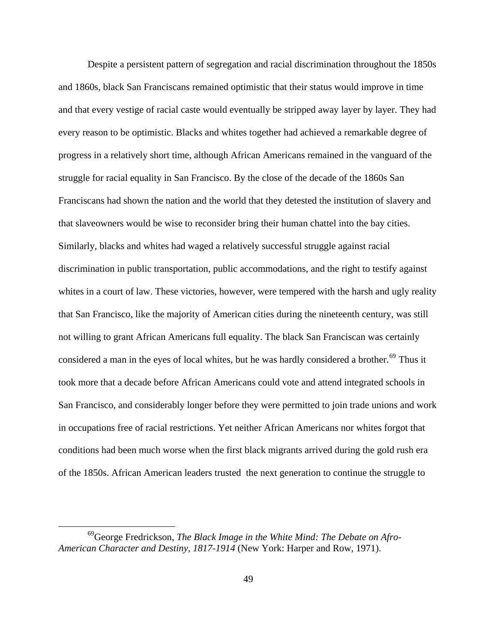Despite a persistent pattern of segregation and racial discrimination throughout the 1850s and 1860s, black San Franciscans remained optimistic that their status would improve in time and that every vestige of racial caste would eventually be stripped away layer by layer. They had every reason to be optimistic. Blacks and whites together had achieved a remarkable degree of progress in a relatively short time, although African Americans remained in the vanguard of the struggle for racial equality in San Francisco. By the close of the decade of the 1860s San Franciscans had shown the nation and the world that they detested the institution of slavery and that slaveowners would be wise to reconsider bring their human chattel into the bay cities. Similarly, blacks and whites had waged a relatively successful struggle against racial discrimination in public transportation, public accommodations, and the right to testify against whites in a court of law. These victories, however, were tempered with the harsh and ugly reality that San Francisco, like the majority of American cities during the nineteenth century, was still not willing to grant African Americans full equality. The black San Franciscan was certainly considered a man in the eyes of local whites, but he was hardly considered a brother.<sup>[69](#page-48-0)</sup> Thus it took more that a decade before African Americans could vote and attend integrated schools in San Francisco, and considerably longer before they were permitted to join trade unions and work in occupations free of racial restrictions. Yet neither African Americans nor whites forgot that conditions had been much worse when the first black migrants arrived during the gold rush era of the 1850s. African American leaders trusted the next generation to continue the struggle to

<span id="page-48-0"></span><sup>69</sup>George Fredrickson, *The Black Image in the White Mind: The Debate on Afro-American Character and Destiny, 1817-1914* (New York: Harper and Row, 1971).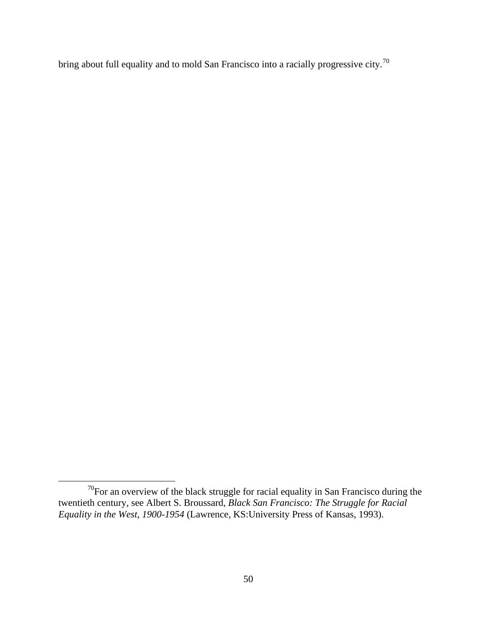bring about full equality and to mold San Francisco into a racially progressive city.<sup>[70](#page-49-0)</sup>

<span id="page-49-0"></span> $70$ For an overview of the black struggle for racial equality in San Francisco during the twentieth century, see Albert S. Broussard, *Black San Francisco: The Struggle for Racial Equality in the West, 1900-1954* (Lawrence, KS:University Press of Kansas, 1993).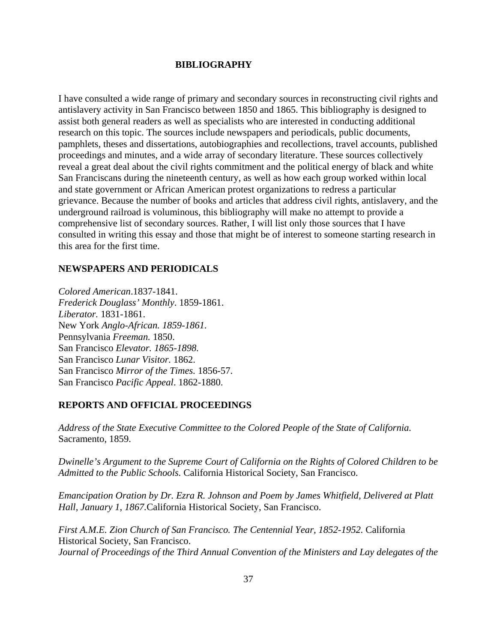#### **BIBLIOGRAPHY**

I have consulted a wide range of primary and secondary sources in reconstructing civil rights and antislavery activity in San Francisco between 1850 and 1865. This bibliography is designed to assist both general readers as well as specialists who are interested in conducting additional research on this topic. The sources include newspapers and periodicals, public documents, pamphlets, theses and dissertations, autobiographies and recollections, travel accounts, published proceedings and minutes, and a wide array of secondary literature. These sources collectively reveal a great deal about the civil rights commitment and the political energy of black and white San Franciscans during the nineteenth century, as well as how each group worked within local and state government or African American protest organizations to redress a particular grievance. Because the number of books and articles that address civil rights, antislavery, and the underground railroad is voluminous, this bibliography will make no attempt to provide a comprehensive list of secondary sources. Rather, I will list only those sources that I have consulted in writing this essay and those that might be of interest to someone starting research in this area for the first time.

## **NEWSPAPERS AND PERIODICALS**

*Colored American*.1837-1841. *Frederick Douglass' Monthly*. 1859-1861. *Liberator.* 1831-1861. New York *Anglo-African. 1859-1861.*  Pennsylvania *Freeman.* 1850. San Francisco *Elevator. 1865-1898.*  San Francisco *Lunar Visitor.* 1862. San Francisco *Mirror of the Times.* 1856-57. San Francisco *Pacific Appeal*. 1862-1880.

#### **REPORTS AND OFFICIAL PROCEEDINGS**

*Address of the State Executive Committee to the Colored People of the State of California.*  Sacramento, 1859.

*Dwinelle's Argument to the Supreme Court of California on the Rights of Colored Children to be Admitted to the Public Schools.* California Historical Society, San Francisco.

*Emancipation Oration by Dr. Ezra R. Johnson and Poem by James Whitfield, Delivered at Platt Hall, January 1, 1867.*California Historical Society, San Francisco.

*First A.M.E. Zion Church of San Francisco. The Centennial Year, 1852-1952.* California Historical Society, San Francisco. *Journal of Proceedings of the Third Annual Convention of the Ministers and Lay delegates of the*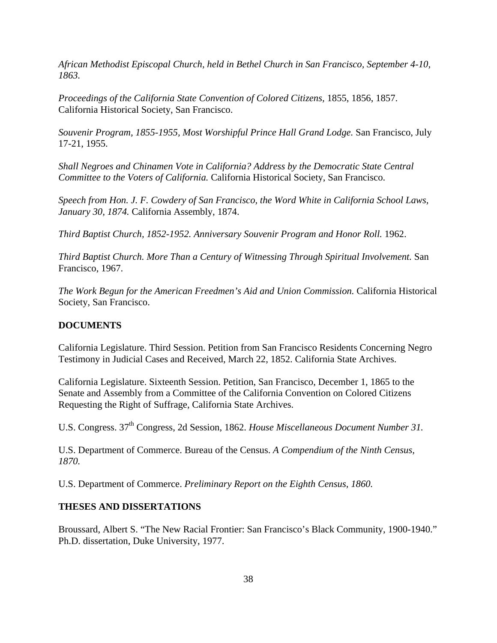*African Methodist Episcopal Church, held in Bethel Church in San Francisco, September 4-10, 1863.*

*Proceedings of the California State Convention of Colored Citizens,* 1855, 1856, 1857. California Historical Society, San Francisco.

*Souvenir Program, 1855-1955, Most Worshipful Prince Hall Grand Lodge.* San Francisco, July 17-21, 1955.

*Shall Negroes and Chinamen Vote in California? Address by the Democratic State Central Committee to the Voters of California.* California Historical Society, San Francisco.

*Speech from Hon. J. F. Cowdery of San Francisco, the Word White in California School Laws, January 30, 1874.* California Assembly, 1874.

*Third Baptist Church, 1852-1952. Anniversary Souvenir Program and Honor Roll.* 1962.

*Third Baptist Church. More Than a Century of Witnessing Through Spiritual Involvement.* San Francisco, 1967.

*The Work Begun for the American Freedmen's Aid and Union Commission.* California Historical Society, San Francisco.

#### **DOCUMENTS**

California Legislature. Third Session. Petition from San Francisco Residents Concerning Negro Testimony in Judicial Cases and Received, March 22, 1852. California State Archives.

California Legislature. Sixteenth Session. Petition, San Francisco, December 1, 1865 to the Senate and Assembly from a Committee of the California Convention on Colored Citizens Requesting the Right of Suffrage, California State Archives.

U.S. Congress. 37th Congress, 2d Session, 1862. *House Miscellaneous Document Number 31.*

U.S. Department of Commerce. Bureau of the Census. *A Compendium of the Ninth Census, 1870.*

U.S. Department of Commerce. *Preliminary Report on the Eighth Census, 1860.*

## **THESES AND DISSERTATIONS**

Broussard, Albert S. "The New Racial Frontier: San Francisco's Black Community, 1900-1940." Ph.D. dissertation, Duke University, 1977.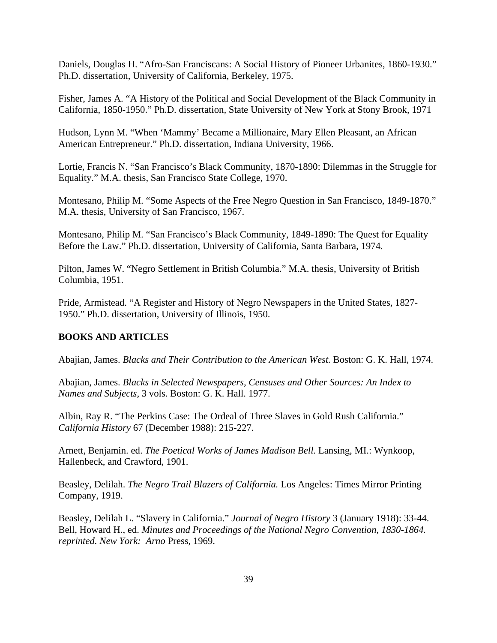Daniels, Douglas H. "Afro-San Franciscans: A Social History of Pioneer Urbanites, 1860-1930." Ph.D. dissertation, University of California, Berkeley, 1975.

Fisher, James A. "A History of the Political and Social Development of the Black Community in California, 1850-1950." Ph.D. dissertation*,* State University of New York at Stony Brook, 1971

Hudson, Lynn M. "When 'Mammy' Became a Millionaire, Mary Ellen Pleasant, an African American Entrepreneur." Ph.D. dissertation, Indiana University, 1966.

Lortie, Francis N. "San Francisco's Black Community, 1870-1890: Dilemmas in the Struggle for Equality." M.A. thesis, San Francisco State College, 1970.

Montesano, Philip M. "Some Aspects of the Free Negro Question in San Francisco, 1849-1870." M.A. thesis, University of San Francisco, 1967.

Montesano, Philip M. "San Francisco's Black Community, 1849-1890: The Quest for Equality Before the Law." Ph.D. dissertation, University of California, Santa Barbara, 1974.

Pilton, James W. "Negro Settlement in British Columbia." M.A. thesis, University of British Columbia, 1951.

Pride, Armistead. "A Register and History of Negro Newspapers in the United States, 1827- 1950." Ph.D. dissertation, University of Illinois, 1950.

# **BOOKS AND ARTICLES**

Abajian, James. *Blacks and Their Contribution to the American West.* Boston: G. K. Hall, 1974.

Abajian, James. *Blacks in Selected Newspapers, Censuses and Other Sources: An Index to Names and Subjects,* 3 vols. Boston: G. K. Hall. 1977.

Albin, Ray R. "The Perkins Case: The Ordeal of Three Slaves in Gold Rush California." *California History* 67 (December 1988): 215-227.

Arnett, Benjamin. ed. *The Poetical Works of James Madison Bell.* Lansing, MI.: Wynkoop, Hallenbeck, and Crawford, 1901.

Beasley, Delilah. *The Negro Trail Blazers of California.* Los Angeles: Times Mirror Printing Company, 1919.

Beasley, Delilah L. "Slavery in California." *Journal of Negro History* 3 (January 1918): 33-44. Bell, Howard H., ed. *Minutes and Proceedings of the National Negro Convention, 1830-1864. reprinted. New York: Arno* Press, 1969.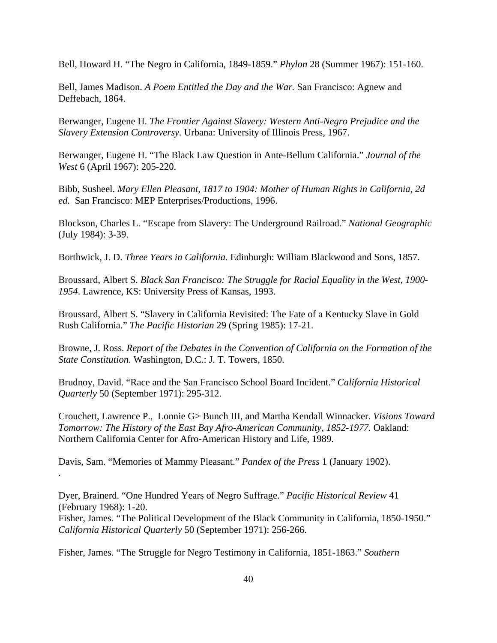Bell, Howard H. "The Negro in California, 1849-1859." *Phylon* 28 (Summer 1967): 151-160.

Bell, James Madison. *A Poem Entitled the Day and the War.* San Francisco: Agnew and Deffebach, 1864.

Berwanger, Eugene H. *The Frontier Against Slavery: Western Anti-Negro Prejudice and the Slavery Extension Controversy.* Urbana: University of Illinois Press, 1967.

Berwanger, Eugene H. "The Black Law Question in Ante-Bellum California." *Journal of the West* 6 (April 1967): 205-220.

Bibb, Susheel. *Mary Ellen Pleasant, 1817 to 1904: Mother of Human Rights in California, 2d ed.* San Francisco: MEP Enterprises/Productions, 1996.

Blockson, Charles L. "Escape from Slavery: The Underground Railroad." *National Geographic* (July 1984): 3-39.

Borthwick, J. D. *Three Years in California.* Edinburgh: William Blackwood and Sons, 1857.

Broussard, Albert S. *Black San Francisco: The Struggle for Racial Equality in the West, 1900- 1954*. Lawrence, KS: University Press of Kansas, 1993.

Broussard, Albert S. "Slavery in California Revisited: The Fate of a Kentucky Slave in Gold Rush California." *The Pacific Historian* 29 (Spring 1985): 17-21.

Browne, J. Ross. *Report of the Debates in the Convention of California on the Formation of the State Constitution*. Washington, D.C.: J. T. Towers, 1850.

Brudnoy, David. "Race and the San Francisco School Board Incident." *California Historical Quarterly* 50 (September 1971): 295-312.

Crouchett, Lawrence P., Lonnie G> Bunch III, and Martha Kendall Winnacker. *Visions Toward Tomorrow: The History of the East Bay Afro-American Community, 1852-1977.* Oakland: Northern California Center for Afro-American History and Life, 1989.

Davis, Sam. "Memories of Mammy Pleasant." *Pandex of the Press* 1 (January 1902).

.

Dyer, Brainerd. "One Hundred Years of Negro Suffrage." *Pacific Historical Review* 41 (February 1968): 1-20. Fisher, James. "The Political Development of the Black Community in California, 1850-1950." *California Historical Quarterly* 50 (September 1971): 256-266.

Fisher, James. "The Struggle for Negro Testimony in California, 1851-1863." *Southern*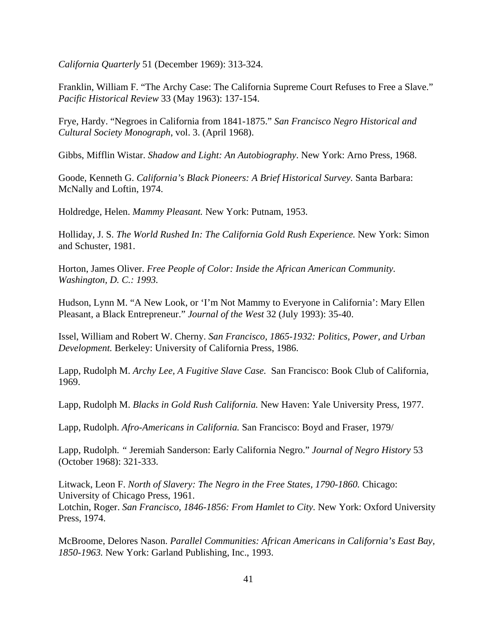*California Quarterly* 51 (December 1969): 313-324.

Franklin, William F. "The Archy Case: The California Supreme Court Refuses to Free a Slave." *Pacific Historical Review* 33 (May 1963): 137-154.

Frye, Hardy. "Negroes in California from 1841-1875." *San Francisco Negro Historical and Cultural Society Monograph*, vol. 3. (April 1968).

Gibbs, Mifflin Wistar. *Shadow and Light: An Autobiography*. New York: Arno Press, 1968.

Goode, Kenneth G. *California's Black Pioneers: A Brief Historical Survey.* Santa Barbara: McNally and Loftin, 1974.

Holdredge, Helen. *Mammy Pleasant.* New York: Putnam, 1953.

Holliday, J. S. *The World Rushed In: The California Gold Rush Experience.* New York: Simon and Schuster, 1981.

Horton, James Oliver. *Free People of Color: Inside the African American Community. Washington, D. C.: 1993.*

Hudson, Lynn M. "A New Look, or 'I'm Not Mammy to Everyone in California': Mary Ellen Pleasant, a Black Entrepreneur." *Journal of the West* 32 (July 1993): 35-40.

Issel, William and Robert W. Cherny. *San Francisco, 1865-1932: Politics, Power, and Urban Development.* Berkeley: University of California Press, 1986.

Lapp, Rudolph M. *Archy Lee, A Fugitive Slave Case.* San Francisco: Book Club of California, 1969.

Lapp, Rudolph M. *Blacks in Gold Rush California.* New Haven: Yale University Press, 1977.

Lapp, Rudolph. *Afro-Americans in California.* San Francisco: Boyd and Fraser, 1979/

Lapp, Rudolph. *"* Jeremiah Sanderson: Early California Negro." *Journal of Negro History* 53 (October 1968): 321-333.

Litwack, Leon F. *North of Slavery: The Negro in the Free States, 1790-1860.* Chicago: University of Chicago Press, 1961. Lotchin, Roger. *San Francisco, 1846-1856: From Hamlet to City.* New York: Oxford University Press, 1974.

McBroome, Delores Nason. *Parallel Communities: African Americans in California's East Bay, 1850-1963.* New York: Garland Publishing, Inc., 1993.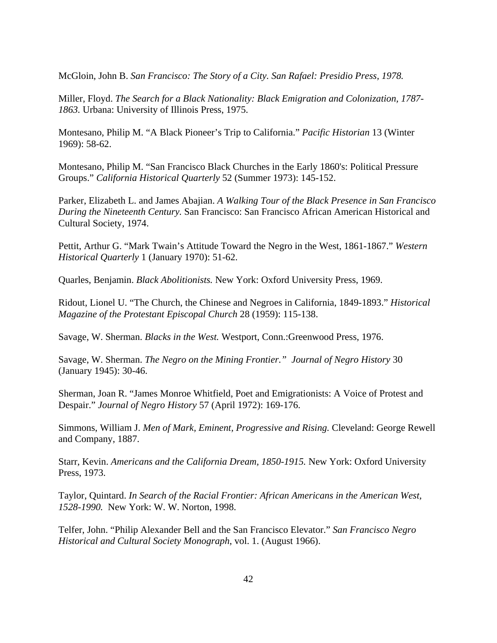McGloin, John B. *San Francisco: The Story of a City. San Rafael: Presidio Press, 1978.* 

Miller, Floyd. *The Search for a Black Nationality: Black Emigration and Colonization, 1787- 1863.* Urbana: University of Illinois Press, 1975.

Montesano, Philip M. "A Black Pioneer's Trip to California." *Pacific Historian* 13 (Winter 1969): 58-62.

Montesano, Philip M. "San Francisco Black Churches in the Early 1860's: Political Pressure Groups." *California Historical Quarterly* 52 (Summer 1973): 145-152.

Parker, Elizabeth L. and James Abajian. *A Walking Tour of the Black Presence in San Francisco During the Nineteenth Century.* San Francisco: San Francisco African American Historical and Cultural Society, 1974.

Pettit, Arthur G. "Mark Twain's Attitude Toward the Negro in the West, 1861-1867." *Western Historical Quarterly* 1 (January 1970): 51-62.

Quarles, Benjamin. *Black Abolitionists.* New York: Oxford University Press, 1969.

Ridout, Lionel U. "The Church, the Chinese and Negroes in California, 1849-1893." *Historical Magazine of the Protestant Episcopal Church* 28 (1959): 115-138.

Savage, W. Sherman. *Blacks in the West.* Westport, Conn.:Greenwood Press, 1976.

Savage, W. Sherman. *The Negro on the Mining Frontier." Journal of Negro History* 30 (January 1945): 30-46.

Sherman, Joan R. "James Monroe Whitfield, Poet and Emigrationists: A Voice of Protest and Despair." *Journal of Negro History* 57 (April 1972): 169-176.

Simmons, William J. *Men of Mark, Eminent, Progressive and Rising.* Cleveland: George Rewell and Company, 1887.

Starr, Kevin. *Americans and the California Dream, 1850-1915.* New York: Oxford University Press, 1973.

Taylor, Quintard. *In Search of the Racial Frontier: African Americans in the American West, 1528-1990.* New York: W. W. Norton, 1998.

Telfer, John. "Philip Alexander Bell and the San Francisco Elevator." *San Francisco Negro Historical and Cultural Society Monograph*, vol. 1. (August 1966).